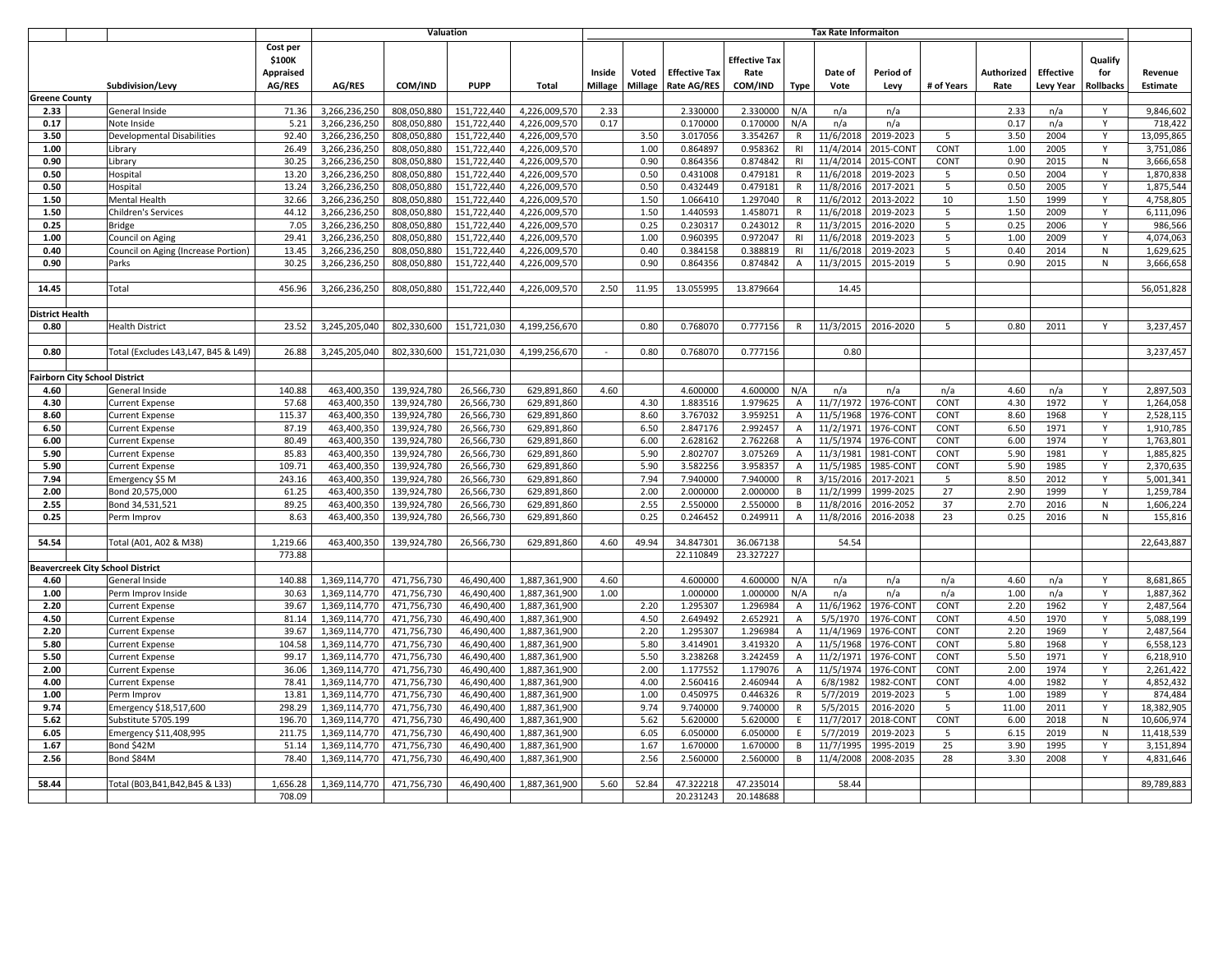|                      |                              |                                     | <b>Valuation</b>                       |               |             |             |               | <b>Tax Rate Informaiton</b> |                |                      |                              |                           |           |           |            |            |                  |                  |            |
|----------------------|------------------------------|-------------------------------------|----------------------------------------|---------------|-------------|-------------|---------------|-----------------------------|----------------|----------------------|------------------------------|---------------------------|-----------|-----------|------------|------------|------------------|------------------|------------|
|                      |                              |                                     | Cost per<br>\$100K<br><b>Appraised</b> |               |             |             |               | Inside                      | Voted          | <b>Effective Tax</b> | <b>Effective Tax</b><br>Rate |                           | Date of   | Period of |            | Authorized | <b>Effective</b> | Qualify<br>for   | Revenue    |
|                      |                              | Subdivision/Levy                    | <b>AG/RES</b>                          | AG/RES        | COM/IND     | <b>PUPP</b> | Total         | <b>Millage</b>              | <b>Millage</b> | <b>Rate AG/RES</b>   | COM/IND                      | Type                      | Vote      | Levy      | # of Years | Rate       | <b>Levy Year</b> | <b>Rollbacks</b> | Estimate   |
| <b>Greene County</b> |                              |                                     |                                        |               |             |             |               |                             |                |                      |                              |                           |           |           |            |            |                  |                  |            |
| 2.33                 |                              | General Inside                      | 71.36                                  | 3,266,236,250 | 808,050,880 | 151,722,440 | 4,226,009,570 | 2.33                        |                | 2.330000             | 2.330000                     | N/A                       | n/a       | n/a       |            | 2.33       | n/a              | Y                | 9,846,602  |
| 0.17                 |                              | Note Inside                         | 5.21                                   | 3,266,236,250 | 808,050,880 | 151,722,440 | 4,226,009,570 | 0.17                        |                | 0.170000             | 0.170000                     | N/A                       | n/a       | n/a       |            | 0.17       | n/a              | Y                | 718,422    |
| 3.50                 |                              | <b>Developmental Disabilities</b>   | 92.40                                  | 3,266,236,250 | 808,050,880 | 151,722,440 | 4,226,009,570 |                             | 3.50           | 3.017056             | 3.354267                     | $\mathsf{R}$              | 11/6/2018 | 2019-2023 | 5          | 3.50       | 2004             | Y                | 13,095,865 |
| 1.00                 |                              | Library                             | 26.49                                  | 3,266,236,250 | 808,050,880 | 151,722,440 | 4,226,009,570 |                             | 1.00           | 0.864897             | 0.958362                     | R <sub>l</sub>            | 11/4/201  | 2015-CONT | CONT       | 1.00       | 2005             | Y                | 3,751,086  |
| 0.90                 |                              | Library                             | 30.25                                  | 3,266,236,250 | 808,050,880 | 151,722,440 | 4,226,009,570 |                             | 0.90           | 0.864356             | 0.874842                     | R <sub>l</sub>            | 11/4/2014 | 2015-CONT | CONT       | 0.90       | 2015             | N                | 3,666,658  |
| 0.50                 |                              | Hospital                            | 13.20                                  | 3.266.236.250 | 808.050.880 | 151.722.440 | 4.226.009.570 |                             | 0.50           | 0.431008             | 0.479181                     | $\mathsf{R}$              | 11/6/201  | 2019-2023 | 5          | 0.50       | 2004             | Y                | 1,870,838  |
| 0.50                 |                              | Hospital                            | 13.24                                  | 3,266,236,250 | 808,050,880 | 151,722,440 | 4,226,009,570 |                             | 0.50           | 0.432449             | 0.479181                     | $\mathsf{R}$              | 11/8/201  | 2017-2021 | 5          | 0.50       | 2005             | Y                | 1,875,544  |
| 1.50                 |                              | Mental Health                       | 32.66                                  | 3,266,236,250 | 808.050.880 | 151,722,440 | 4,226,009,570 |                             | 1.50           | 1.066410             | 1.297040                     | $\mathsf{R}$              | 11/6/2012 | 2013-2022 | 10         | 1.50       | 1999             | Y                | 4,758,805  |
| 1.50                 |                              | Children's Services                 | 44.12                                  | 3,266,236,250 | 808,050,880 | 151,722,440 | 4,226,009,570 |                             | 1.50           | 1.440593             | 1.458071                     | $\mathsf{R}$              | 11/6/2018 | 2019-2023 | 5          | 1.50       | 2009             | Y                | 6,111,096  |
| 0.25                 |                              | <b>Bridge</b>                       | 7.05                                   | 3,266,236,250 | 808,050,880 | 151,722,440 | 4,226,009,570 |                             | 0.25           | 0.230317             | 0.243012                     | R                         | 11/3/201  | 2016-2020 | 5          | 0.25       | 2006             | Υ                | 986,566    |
| 1.00                 |                              | Council on Aging                    | 29.41                                  | 3,266,236,250 | 808,050,880 | 151,722,440 | 4,226,009,570 |                             | 1.00           | 0.960395             | 0.972047                     | R <sub>l</sub>            | 11/6/201  | 2019-2023 | 5          | 1.00       | 2009             | Y                | 4,074,063  |
| 0.40                 |                              | Council on Aging (Increase Portion) | 13.45                                  | 3,266,236,250 | 808,050,880 | 151,722,440 | 4,226,009,570 |                             | 0.40           | 0.384158             | 0.388819                     | R1                        | 11/6/2018 | 2019-2023 | 5          | 0.40       | 2014             | N                | 1,629,625  |
| 0.90                 |                              | Parks                               | 30.25                                  | 3,266,236,250 | 808,050,880 | 151,722,440 | 4,226,009,570 |                             | 0.90           | 0.864356             | 0.874842                     | A                         | 11/3/2015 | 2015-2019 | 5          | 0.90       | 2015             | N                | 3,666,658  |
|                      |                              |                                     |                                        |               |             |             |               |                             |                |                      |                              |                           |           |           |            |            |                  |                  |            |
| 14.45                |                              | Total                               | 456.96                                 | 3,266,236,250 | 808,050,880 | 151,722,440 | 4,226,009,570 | 2.50                        | 11.95          | 13.055995            | 13.879664                    |                           | 14.45     |           |            |            |                  |                  | 56,051,828 |
|                      |                              |                                     |                                        |               |             |             |               |                             |                |                      |                              |                           |           |           |            |            |                  |                  |            |
| District Health      |                              |                                     |                                        |               |             |             |               |                             |                |                      |                              |                           |           |           |            |            |                  |                  |            |
| 0.80                 |                              | <b>Health District</b>              | 23.52                                  | 3,245,205,040 | 802,330,600 | 151,721,030 | 4,199,256,670 |                             | 0.80           | 0.768070             | 0.777156                     | $\mathsf{R}$              | 11/3/2015 | 2016-2020 | 5          | 0.80       | 2011             | Y                | 3,237,457  |
|                      |                              |                                     |                                        |               |             |             |               |                             |                |                      |                              |                           |           |           |            |            |                  |                  |            |
| 0.80                 |                              | Total (Excludes L43,L47, B45 & L49) | 26.88                                  | 3,245,205,040 | 802,330,600 | 151,721,030 | 4,199,256,670 |                             | 0.80           | 0.768070             | 0.777156                     |                           | 0.80      |           |            |            |                  |                  | 3,237,457  |
|                      |                              |                                     |                                        |               |             |             |               |                             |                |                      |                              |                           |           |           |            |            |                  |                  |            |
|                      | airborn City School District |                                     |                                        |               |             |             |               |                             |                |                      |                              |                           |           |           |            |            |                  |                  |            |
| 4.60                 |                              | General Inside                      | 140.88                                 | 463,400,350   | 139,924,780 | 26,566,730  | 629,891,860   | 4.60                        |                | 4.600000             | 4.600000                     | N/A                       | n/a       | n/a       | n/a        | 4.60       | n/a              | Y                | 2,897,503  |
| 4.30                 |                              | <b>Current Expense</b>              | 57.68                                  | 463,400,350   | 139,924,780 | 26,566,730  | 629,891,860   |                             | 4.30           | 1.883516             | 1.979625                     | Α                         | 11/7/1972 | 1976-CON1 | CONT       | 4.30       | 1972             | Y                | 1,264,058  |
| 8.60                 |                              | <b>Current Expense</b>              | 115.37                                 | 463,400,350   | 139,924,780 | 26,566,730  | 629,891,860   |                             | 8.60           | 3.767032             | 3.959251                     | $\mathsf A$               | 11/5/1968 | 1976-CONT | CONT       | 8.60       | 1968             | Y                | 2,528,115  |
| 6.50                 |                              | <b>Current Expense</b>              | 87.19                                  | 463,400,350   | 139,924,780 | 26,566,730  | 629,891,860   |                             | 6.50           | 2.847176             | 2.992457                     | Α                         | 11/2/197  | 1976-CON1 | CONT       | 6.50       | 1971             | Y                | 1,910,785  |
| 6.00                 |                              | <b>Current Expense</b>              | 80.49                                  | 463.400.350   | 139,924,780 | 26,566,730  | 629,891,860   |                             | 6.00           | 2.628162             | 2.762268                     | $\overline{A}$            | 11/5/1974 | 1976-CONT | CONT       | 6.00       | 1974             | Y                | 1,763,801  |
| 5.90                 |                              | <b>Current Expense</b>              | 85.83                                  | 463,400,350   | 139,924,780 | 26,566,730  | 629,891,860   |                             | 5.90           | 2.802707             | 3.075269                     | Α                         | 11/3/198  | 1981-CONT | CONT       | 5.90       | 1981             | Y                | 1,885,825  |
| 5.90                 |                              | <b>Current Expense</b>              | 109.71                                 | 463,400,350   | 139,924,780 | 26,566,730  | 629,891,860   |                             | 5.90           | 3.582256             | 3.958357                     | $\overline{A}$            | 11/5/1985 | 1985-CONT | CONT       | 5.90       | 1985             | $\mathsf{Y}$     | 2,370,635  |
| 7.94                 |                              | Emergency \$5 M                     | 243.16                                 | 463.400.350   | 139,924,780 | 26,566,730  | 629,891,860   |                             | 7.94           | 7.940000             | 7.940000                     | $\mathsf{R}$              | 3/15/2016 | 2017-2021 | -5         | 8.50       | 2012             | Y                | 5,001,341  |
| 2.00                 |                              | Bond 20,575,000                     | 61.25                                  | 463,400,350   | 139,924,780 | 26,566,730  | 629,891,860   |                             | 2.00           | 2.000000             | 2.000000                     | B                         | 11/2/1999 | 1999-2025 | 27         | 2.90       | 1999             | $\mathsf{Y}$     | 1,259,784  |
| 2.55                 |                              | Bond 34,531,521                     | 89.25                                  | 463,400,350   | 139,924,780 | 26,566,730  | 629,891,860   |                             | 2.55           | 2.550000             | 2.550000                     | B                         | 11/8/201  | 2016-2052 | 37         | 2.70       | 2016             | N                | 1,606,224  |
| 0.25                 |                              | Perm Improv                         | 8.63                                   | 463,400,350   | 139,924,780 | 26,566,730  | 629,891,860   |                             | 0.25           | 0.246452             | 0.249911                     | $\boldsymbol{\mathsf{A}}$ | 11/8/201  | 2016-2038 | 23         | 0.25       | 2016             | $\mathsf{N}$     | 155,816    |
|                      |                              |                                     |                                        |               |             |             |               |                             |                |                      |                              |                           |           |           |            |            |                  |                  |            |
| 54.54                |                              | Total (A01, A02 & M38)              | 1,219.66                               | 463,400,350   | 139,924,780 | 26,566,730  | 629,891,860   | 4.60                        | 49.94          | 34.847301            | 36.067138                    |                           | 54.54     |           |            |            |                  |                  | 22,643,887 |
|                      |                              |                                     | 773.88                                 |               |             |             |               |                             |                | 22.110849            | 23.327227                    |                           |           |           |            |            |                  |                  |            |
|                      |                              | Beavercreek City School District    |                                        |               |             |             |               |                             |                |                      |                              |                           |           |           |            |            |                  |                  |            |
| 4.60                 |                              | General Inside                      | 140.88                                 | 1,369,114,770 | 471,756,730 | 46,490,400  | 1,887,361,900 | 4.60                        |                | 4.600000             | 4.600000                     | N/A                       | n/a       | n/a       | n/a        | 4.60       | n/a              | Y                | 8,681,865  |
| 1.00                 |                              | Perm Improv Inside                  | 30.63                                  | 1,369,114,770 | 471,756,730 | 46,490,400  | 1,887,361,900 | 1.00                        |                | 1.000000             | 1.000000                     | N/A                       | n/a       | n/a       | n/a        | 1.00       | n/a              | Y                | 1,887,362  |
| 2.20                 |                              | <b>Current Expense</b>              | 39.67                                  | 1,369,114,770 | 471,756,730 | 46,490,400  | 1,887,361,900 |                             | 2.20           | 1.295307             | 1.296984                     | Α                         | 11/6/1962 | 1976-CON1 | CONT       | 2.20       | 1962             | Y                | 2,487,564  |
| 4.50                 |                              | <b>Current Expense</b>              | 81.14                                  | 1,369,114,770 | 471,756,730 | 46,490,400  | 1,887,361,900 |                             | 4.50           | 2.649492             | 2.652921                     | $\overline{A}$            | 5/5/1970  | 1976-CONT | CONT       | 4.50       | 1970             | Υ                | 5,088,199  |
| 2.20                 |                              | <b>Current Expense</b>              | 39.67                                  | 1,369,114,770 | 471,756,730 | 46,490,400  | 1,887,361,900 |                             | 2.20           | 1.295307             | 1.296984                     | A                         | 11/4/1969 | 1976-CON1 | CONT       | 2.20       | 1969             | Y                | 2,487,564  |
| 5.80                 |                              | <b>Current Expense</b>              | 104.58                                 | 1,369,114,770 | 471,756,730 | 46,490,400  | 1,887,361,900 |                             | 5.80           | 3.414901             | 3.419320                     | $\overline{A}$            | 11/5/1968 | 1976-CONT | CONT       | 5.80       | 1968             | Y                | 6,558,123  |
| 5.50                 |                              | <b>Current Expense</b>              | 99.17                                  | 1,369,114,770 | 471,756,730 | 46,490,400  | 1,887,361,900 |                             | 5.50           | 3.238268             | 3.242459                     | $\overline{A}$            | 11/2/197  | 1976-CON1 | CONT       | 5.50       | 1971             | $\mathsf{Y}$     | 6,218,910  |
| 2.00                 |                              | <b>Current Expense</b>              | 36.06                                  | 1,369,114,770 | 471,756,730 | 46,490,400  | 1,887,361,900 |                             | 2.00           | 1.177552             | 1.179076                     | A                         | 11/5/1974 | 1976-CONT | CONT       | 2.00       | 1974             | Y                | 2,261,422  |
| 4.00                 |                              | <b>Current Expense</b>              | 78.41                                  | 1,369,114,770 | 471,756,730 | 46,490,400  | 1,887,361,900 |                             | 4.00           | 2.560416             | 2.460944                     | A                         | 6/8/1982  | 1982-CONT | CONT       | 4.00       | 1982             | Y                | 4,852,432  |
| 1.00                 |                              | Perm Improv                         | 13.81                                  | 1,369,114,770 | 471,756,730 | 46,490,400  | 1,887,361,900 |                             | 1.00           | 0.450975             | 0.446326                     | $\mathsf{R}$              | 5/7/2019  | 2019-2023 | -5         | 1.00       | 1989             | Y                | 874,484    |
| 9.74                 |                              | Emergency \$18,517,600              | 298.29                                 | 1,369,114,770 | 471,756,730 | 46,490,400  | 1,887,361,900 |                             | 9.74           | 9.740000             | 9.740000                     | $\mathsf{R}$              | 5/5/2015  | 2016-2020 | 5          | 11.00      | 2011             | Y                | 18.382.905 |
| 5.62                 |                              | Substitute 5705.199                 | 196.70                                 | 1,369,114,770 | 471,756,730 | 46,490,400  | 1,887,361,900 |                             | 5.62           | 5.620000             | 5.620000                     | E                         | 11/7/201  | 2018-CONT | CONT       | 6.00       | 2018             | N                | 10,606,974 |
| 6.05                 |                              | Emergency \$11,408,995              | 211.75                                 | 1,369,114,770 | 471,756,730 | 46,490,400  | 1,887,361,900 |                             | 6.05           | 6.050000             | 6.050000                     | E                         | 5/7/2019  | 2019-2023 | -5         | 6.15       | 2019             | N                | 11,418,539 |
| 1.67                 |                              | Bond \$42M                          | 51.14                                  | 1,369,114,770 | 471,756,730 | 46,490,400  | 1,887,361,900 |                             | 1.67           | 1.670000             | 1.670000                     | B                         | 11/7/1995 | 1995-2019 | 25         | 3.90       | 1995             | Y                | 3,151,894  |
| 2.56                 |                              | Bond \$84M                          | 78.40                                  | 1,369,114,770 | 471,756,730 | 46,490,400  | 1,887,361,900 |                             | 2.56           | 2.560000             | 2.560000                     | В                         | 11/4/2008 | 2008-2035 | 28         | 3.30       | 2008             | Υ                | 4,831,646  |
|                      |                              |                                     |                                        |               |             |             |               |                             |                |                      |                              |                           |           |           |            |            |                  |                  |            |
| 58.44                |                              | Total (B03,B41,B42,B45 & L33)       | 1,656.28                               | 1,369,114,770 | 471,756,730 | 46,490,400  | 1,887,361,900 | 5.60                        | 52.84          | 47.322218            | 47.235014                    |                           | 58.44     |           |            |            |                  |                  | 89,789,883 |
|                      |                              |                                     | 708.09                                 |               |             |             |               |                             |                | 20.231243            | 20.148688                    |                           |           |           |            |            |                  |                  |            |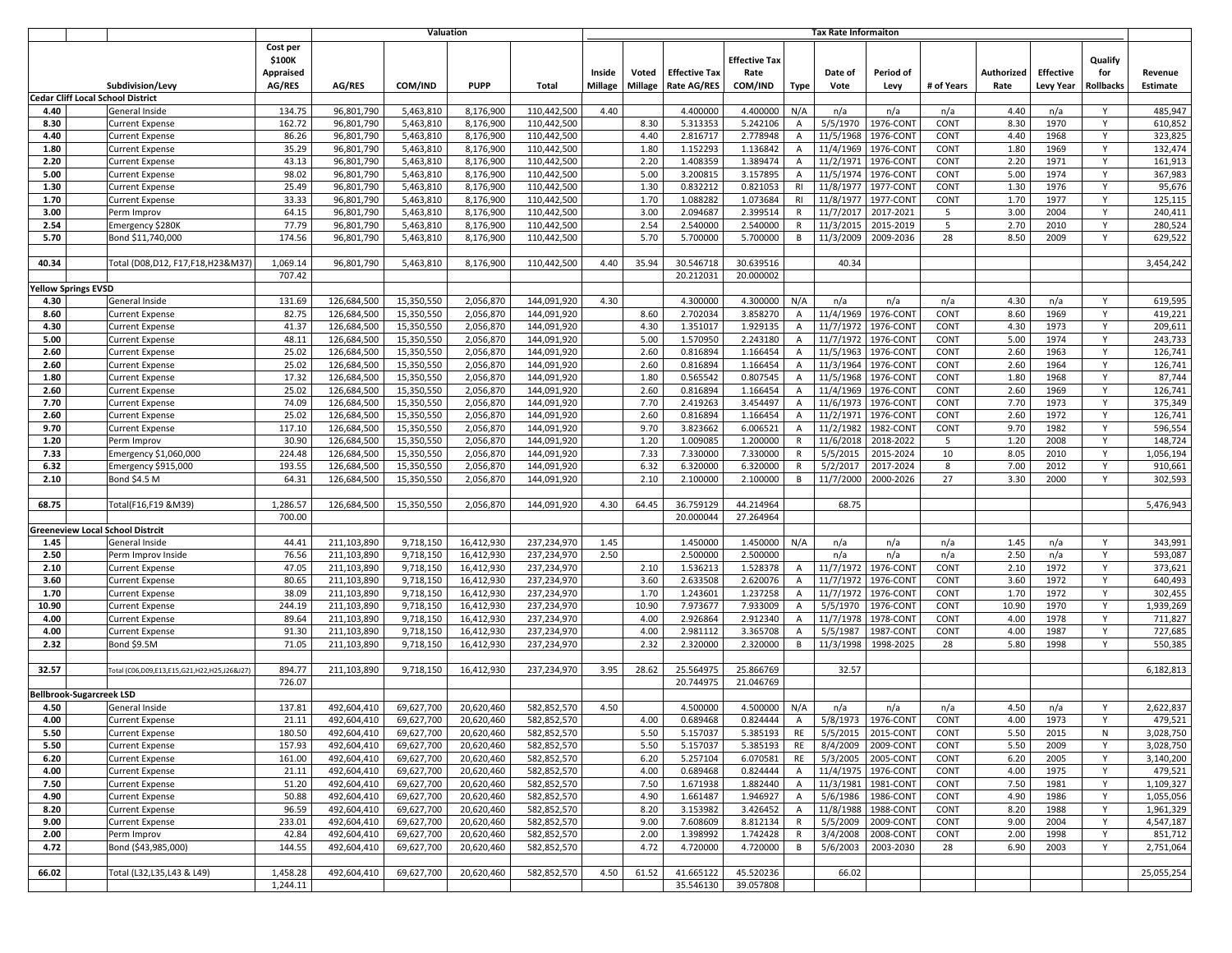|              |                                 |                                                           |                 |                            |                          | Valuation              |                            | <b>Tax Rate Informaiton</b> |              |                      |                      |                     |                        |                       |              |              |                  |           |                    |
|--------------|---------------------------------|-----------------------------------------------------------|-----------------|----------------------------|--------------------------|------------------------|----------------------------|-----------------------------|--------------|----------------------|----------------------|---------------------|------------------------|-----------------------|--------------|--------------|------------------|-----------|--------------------|
|              |                                 |                                                           | Cost per        |                            |                          |                        |                            |                             |              |                      |                      |                     |                        |                       |              |              |                  |           |                    |
|              |                                 |                                                           | \$100K          |                            |                          |                        |                            |                             |              |                      | <b>Effective Tax</b> |                     |                        |                       |              |              |                  | Qualify   |                    |
|              |                                 |                                                           | Appraised       |                            |                          |                        |                            | Inside                      | Voted        | <b>Effective Tax</b> | Rate                 |                     | Date of                | Period of             |              | Authorized   | <b>Effective</b> | for       | Revenue            |
|              |                                 | Subdivision/Levy                                          | AG/RES          | AG/RES                     | COM/IND                  | <b>PUPP</b>            | Total                      | Millage                     | Millage      | <b>Rate AG/RES</b>   | COM/IND              | <b>Type</b>         | Vote                   | Levy                  | # of Years   | Rate         | Levy Year        | Rollbacks | Estimate           |
|              |                                 | <b>Cedar Cliff Local School District</b>                  |                 |                            |                          |                        |                            |                             |              |                      |                      |                     |                        |                       |              |              |                  |           |                    |
| 4.40         |                                 | General Inside                                            | 134.75          | 96,801,790                 | 5,463,810                | 8,176,900              | 110,442,500                | 4.40                        |              | 4.400000             | 4.400000             | N/A                 | n/a                    | n/a                   | n/a          | 4.40         | n/a              | Y         | 485,947            |
| 8.30<br>4.40 |                                 | <b>Current Expense</b><br>Current Expense                 | 162.72<br>86.26 | 96,801,790<br>96.801.790   | 5,463,810<br>5,463,810   | 8,176,900<br>8,176,900 | 110,442,500<br>110,442,500 |                             | 8.30<br>4.40 | 5.313353<br>2.816717 | 5.242106<br>2.778948 | A<br>Α              | 5/5/1970<br>11/5/1968  | 1976-CON1<br>1976-CON | CONT<br>CONT | 8.30<br>4.40 | 1970<br>1968     | Y<br>Y    | 610,852<br>323,825 |
| 1.80         |                                 | <b>Current Expense</b>                                    | 35.29           | 96,801,790                 | 5,463,810                | 8,176,900              | 110,442,500                |                             | 1.80         | 1.152293             | 1.136842             | A                   | 11/4/1969              | 1976-CON              | CONT         | 1.80         | 1969             | Υ         | 132,474            |
| 2.20         |                                 | <b>Current Expense</b>                                    | 43.13           | 96,801,790                 | 5,463,810                | 8,176,900              | 110,442,500                |                             | 2.20         | 1.408359             | 1.389474             | A                   | 11/2/1971              | 1976-CON1             | CONT         | 2.20         | 1971             | Y         | 161,913            |
| 5.00         |                                 | <b>Current Expense</b>                                    | 98.02           | 96,801,790                 | 5,463,810                | 8,176,900              | 110,442,500                |                             | 5.00         | 3.200815             | 3.157895             | A                   | 11/5/1974              | 1976-CON1             | CONT         | 5.00         | 1974             | Y         | 367,983            |
| 1.30         |                                 | Current Expense                                           | 25.49           | 96,801,790                 | 5,463,810                | 8,176,900              | 110,442,500                |                             | 1.30         | 0.832212             | 0.821053             | R <sub>l</sub>      | 11/8/197               | 1977-CON              | CONT         | 1.30         | 1976             | Υ         | 95,676             |
| 1.70         |                                 | Current Expense                                           | 33.33           | 96,801,790                 | 5,463,810                | 8,176,900              | 110,442,500                |                             | 1.70         | 1.088282             | 1.073684             | R1                  | 11/8/197               | 1977-CON1             | CONT         | 1.70         | 1977             | Y         | 125,115            |
| 3.00         |                                 | Perm Improv                                               | 64.15           | 96.801.790                 | 5,463,810                | 8,176,900              | 110,442,500                |                             | 3.00         | 2.094687             | 2.399514             | $\mathsf{R}$        | 11/7/201               | 2017-2021             | -5           | 3.00         | 2004             | Y         | 240,411            |
| 2.54         |                                 | Emergency \$280K                                          | 77.79           | 96.801.790                 | 5,463,810                | 8,176,900              | 110,442,500                |                             | 2.54         | 2.540000             | 2.540000             | R                   | 11/3/2015              | 2015-2019             | -5           | 2.70         | 2010             | Y         | 280,524            |
| 5.70         |                                 | Bond \$11,740,000                                         | 174.56          | 96,801,790                 | 5,463,810                | 8,176,900              | 110,442,500                |                             | 5.70         | 5.700000             | 5.700000             | B                   | 11/3/2009              | 2009-2036             | 28           | 8.50         | 2009             | Υ         | 629,522            |
|              |                                 |                                                           |                 |                            |                          |                        |                            |                             |              |                      |                      |                     |                        |                       |              |              |                  |           |                    |
| 40.34        |                                 | Total (D08,D12, F17,F18,H23&M37                           | 1,069.14        | 96,801,790                 | 5,463,810                | 8,176,900              | 110,442,500                | 4.40                        | 35.94        | 30.546718            | 30.639516            |                     | 40.34                  |                       |              |              |                  |           | 3,454,242          |
|              |                                 |                                                           | 707.42          |                            |                          |                        |                            |                             |              | 20.212031            | 20.000002            |                     |                        |                       |              |              |                  |           |                    |
|              | 'ellow Springs EVSD             |                                                           |                 |                            |                          |                        |                            |                             |              |                      |                      |                     |                        |                       |              |              |                  |           |                    |
| 4.30         |                                 | General Inside                                            | 131.69          | 126,684,500                | 15,350,550               | 2,056,870              | 144,091,920                | 4.30                        |              | 4.300000             | 4.300000             | N/A                 | n/a                    | n/a                   | n/a          | 4.30         | n/a              | Y         | 619,595            |
| 8.60         |                                 | Current Expense                                           | 82.75           | 126,684,500                | 15,350,550               | 2,056,870              | 144,091,920                |                             | 8.60         | 2.702034             | 3.858270             | A                   | 11/4/1969              | 1976-CON              | CONT         | 8.60         | 1969             | Y         | 419,221            |
| 4.30         |                                 | Current Expense                                           | 41.37           | 126,684,500<br>126.684.500 | 15,350,550               | 2,056,870              | 144,091,920                |                             | 4.30         | 1.351017             | 1.929135             | Α                   | 11/7/1972              | 1976-CON1             | CONT         | 4.30         | 1973             | Y<br>Y    | 209,611            |
| 5.00<br>2.60 |                                 | Current Expense<br>Current Expense                        | 48.11<br>25.02  | 126.684.500                | 15,350,550<br>15,350,550 | 2,056,870<br>2,056,870 | 144,091,920<br>144,091,920 |                             | 5.00<br>2.60 | 1.570950<br>0.816894 | 2.243180<br>1.166454 | A<br>$\overline{A}$ | 11/7/1972<br>11/5/1963 | 1976-CON<br>1976-CON  | CONT<br>CONT | 5.00<br>2.60 | 1974<br>1963     | Y         | 243,733<br>126,741 |
| 2.60         |                                 | Current Expense                                           | 25.02           | 126.684.500                | 15.350.550               | 2,056,870              | 144,091,920                |                             | 2.60         | 0.816894             | 1.166454             | A                   | 11/3/1964              | 1976-CON              | CONT         | 2.60         | 1964             | Y         | 126,741            |
| 1.80         |                                 | Current Expense                                           | 17.32           | 126,684,500                | 15,350,550               | 2,056,870              | 144,091,920                |                             | 1.80         | 0.565542             | 0.807545             | $\overline{A}$      | 11/5/1968              | 1976-CON1             | CONT         | 1.80         | 1968             | Y         | 87,744             |
| 2.60         |                                 | <b>Current Expense</b>                                    | 25.02           | 126,684,500                | 15,350,550               | 2,056,870              | 144,091,920                |                             | 2.60         | 0.816894             | 1.166454             | $\overline{A}$      | 11/4/1969              | 1976-CON1             | CONT         | 2.60         | 1969             | Y         | 126,741            |
| 7.70         |                                 | Current Expense                                           | 74.09           | 126,684,500                | 15,350,550               | 2,056,870              | 144,091,920                |                             | 7.70         | 2.419263             | 3.454497             | A                   | 11/6/1973              | 1976-CON              | CONT         | 7.70         | 1973             | Y         | 375,349            |
| 2.60         |                                 | Current Expense                                           | 25.02           | 126,684,500                | 15,350,550               | 2,056,870              | 144,091,920                |                             | 2.60         | 0.816894             | 1.166454             | $\overline{A}$      | 11/2/1971              | 1976-CON1             | CONT         | 2.60         | 1972             | Y         | 126,741            |
| 9.70         |                                 | Current Expense                                           | 117.10          | 126,684,500                | 15,350,550               | 2,056,870              | 144,091,920                |                             | 9.70         | 3.823662             | 6.006521             | $\overline{A}$      | 11/2/198               | 1982-CON'             | CONT         | 9.70         | 1982             | Y         | 596,554            |
| 1.20         |                                 | Perm Improv                                               | 30.90           | 126,684,500                | 15,350,550               | 2,056,870              | 144,091,920                |                             | 1.20         | 1.009085             | 1.200000             | $\mathsf{R}$        | 11/6/201               | 2018-2022             | 5            | 1.20         | 2008             | Y         | 148,724            |
| 7.33         |                                 | Emergency \$1,060,000                                     | 224.48          | 126,684,500                | 15,350,550               | 2,056,870              | 144,091,920                |                             | 7.33         | 7.330000             | 7.330000             | R                   | 5/5/2015               | 2015-2024             | 10           | 8.05         | 2010             | Y         | 1,056,194          |
| 6.32         |                                 | Emergency \$915,000                                       | 193.55          | 126,684,500                | 15,350,550               | 2,056,870              | 144,091,920                |                             | 6.32         | 6.320000             | 6.320000             | R                   | 5/2/2017               | 2017-2024             | 8            | 7.00         | 2012             | Υ         | 910,661            |
| 2.10         |                                 | Bond \$4.5 M                                              | 64.31           | 126,684,500                | 15,350,550               | 2,056,870              | 144.091.920                |                             | 2.10         | 2.100000             | 2.100000             | B                   | 11/7/2000              | 2000-2026             | 27           | 3.30         | 2000             | Y         | 302,593            |
|              |                                 |                                                           |                 |                            |                          |                        |                            |                             |              |                      |                      |                     |                        |                       |              |              |                  |           |                    |
| 68.75        |                                 | Total(F16,F19 &M39)                                       | 1,286.57        | 126,684,500                | 15,350,550               | 2,056,870              | 144,091,920                | 4.30                        | 64.45        | 36.759129            | 44.214964            |                     | 68.75                  |                       |              |              |                  |           | 5,476,943          |
|              |                                 |                                                           | 700.00          |                            |                          |                        |                            |                             |              | 20.000044            | 27.264964            |                     |                        |                       |              |              |                  |           |                    |
| 1.45         |                                 | <b>Greeneview Local School Distrcit</b><br>General Inside | 44.41           | 211,103,890                | 9,718,150                | 16,412,930             | 237,234,970                | 1.45                        |              | 1.450000             | 1.450000             | N/A                 | n/a                    | n/a                   | n/a          | 1.45         | n/a              | Y         | 343,991            |
| 2.50         |                                 | Perm Improv Inside                                        | 76.56           | 211,103,890                | 9,718,150                | 16,412,930             | 237,234,970                | 2.50                        |              | 2.500000             | 2.500000             |                     | n/a                    | n/a                   | n/a          | 2.50         | n/a              | Υ         | 593,087            |
| 2.10         |                                 | Current Expense                                           | 47.05           | 211,103,890                | 9,718,150                | 16,412,930             | 237,234,970                |                             | 2.10         | 1.536213             | 1.528378             | A                   | 11/7/197               | 1976-CON              | CONT         | 2.10         | 1972             | Y         | 373,621            |
| 3.60         |                                 | <b>Current Expense</b>                                    | 80.65           | 211,103,890                | 9,718,150                | 16,412,930             | 237,234,970                |                             | 3.60         | 2.633508             | 2.620076             | A                   | 11/7/1972              | 1976-CON1             | CONT         | 3.60         | 1972             | Y         | 640,493            |
| 1.70         |                                 | Current Expense                                           | 38.09           | 211,103,890                | 9,718,150                | 16,412,930             | 237,234,970                |                             | 1.70         | 1.243601             | 1.237258             | $\overline{A}$      | 11/7/1972              | 1976-CON              | CONT         | 1.70         | 1972             | Y         | 302,455            |
| 10.90        |                                 | Current Expense                                           | 244.19          | 211,103,890                | 9,718,150                | 16,412,930             | 237,234,970                |                             | 10.90        | 7.973677             | 7.933009             | A                   | 5/5/1970               | 1976-CON              | CONT         | 10.90        | 1970             | Y         | 1,939,269          |
| 4.00         |                                 | <b>Current Expense</b>                                    | 89.64           | 211,103,890                | 9,718,150                | 16,412,930             | 237,234,970                |                             | 4.00         | 2.926864             | 2.912340             | A                   | 11/7/1978              | 1978-CON              | CONT         | 4.00         | 1978             | Y         | 711,827            |
| 4.00         |                                 | Current Expense                                           | 91.30           | 211,103,890                | 9,718,150                | 16,412,930             | 237,234,970                |                             | 4.00         | 2.981112             | 3.365708             | A                   | 5/5/1987               | 1987-CON'             | CONT         | 4.00         | 1987             | Y         | 727,685            |
| 2.32         |                                 | Bond \$9.5M                                               | 71.05           | 211,103,890                | 9,718,150                | 16,412,930             | 237,234,970                |                             | 2.32         | 2.320000             | 2.320000             | B                   | 11/3/1998              | 1998-2025             | 28           | 5.80         | 1998             | Y         | 550,385            |
|              |                                 |                                                           |                 |                            |                          |                        |                            |                             |              |                      |                      |                     |                        |                       |              |              |                  |           |                    |
| 32.57        |                                 | Total (C06,D09,E13,E15,G21,H22,H25,J26&J27)               | 894.77          | 211,103,890                | 9,718,150                | 16,412,930             | 237,234,970                | 3.95                        | 28.62        | 25.564975            | 25.866769            |                     | 32.57                  |                       |              |              |                  |           | 6,182,813          |
|              |                                 |                                                           | 726.07          |                            |                          |                        |                            |                             |              | 20.744975            | 21.046769            |                     |                        |                       |              |              |                  |           |                    |
| 4.50         | <b>Bellbrook-Sugarcreek LSD</b> | General Inside                                            | 137.81          | 492,604,410                | 69.627.700               | 20,620,460             | 582,852,570                | 4.50                        |              | 4.500000             | 4.500000             | N/A                 | n/a                    | n/a                   | n/a          | 4.50         | n/a              | Y         | 2,622,837          |
| 4.00         |                                 | Current Expense                                           | 21.11           | 492,604,410                | 69,627,700               | 20,620,460             | 582,852,570                |                             | 4.00         | 0.689468             | 0.824444             | A                   | 5/8/1973               | 1976-CONT             | CONT         | 4.00         | 1973             | Y         | 479,521            |
| 5.50         |                                 | <b>Current Expense</b>                                    | 180.50          | 492,604,410                | 69,627,700               | 20,620,460             | 582,852,570                |                             | 5.50         | 5.157037             | 5.385193             | RE                  |                        | 5/5/2015 2015-CONT    | CONT         | 5.50         | 2015             | N         | 3,028,750          |
| 5.50         |                                 | Current Expense                                           | 157.93          | 492,604,410                | 69,627,700               | 20,620,460             | 582,852,570                |                             | 5.50         | 5.157037             | 5.385193             | RE                  | 8/4/2009               | 2009-CONT             | CONT         | 5.50         | 2009             | Y         | 3,028,750          |
| 6.20         |                                 | <b>Current Expense</b>                                    | 161.00          | 492,604,410                | 69,627,700               | 20,620,460             | 582,852,570                |                             | 6.20         | 5.257104             | 6.070581             | RE                  | 5/3/2005               | 2005-CONT             | CONT         | 6.20         | 2005             | Y         | 3,140,200          |
| 4.00         |                                 | Current Expense                                           | 21.11           | 492,604,410                | 69,627,700               | 20,620,460             | 582,852,570                |                             | 4.00         | 0.689468             | 0.824444             | Α                   |                        | 11/4/1975 1976-CONT   | CONT         | 4.00         | 1975             | Y         | 479,521            |
| 7.50         |                                 | Current Expense                                           | 51.20           | 492,604,410                | 69,627,700               | 20,620,460             | 582,852,570                |                             | 7.50         | 1.671938             | 1.882440             | $\overline{A}$      |                        | 11/3/1981 1981-CONT   | CONT         | 7.50         | 1981             | Y         | 1,109,327          |
| 4.90         |                                 | <b>Current Expense</b>                                    | 50.88           | 492,604,410                | 69,627,700               | 20,620,460             | 582,852,570                |                             | 4.90         | 1.661487             | 1.946927             | Α                   | 5/6/1986               | 1986-CONT             | CONT         | 4.90         | 1986             | Y         | 1,055,056          |
| 8.20         |                                 | <b>Current Expense</b>                                    | 96.59           | 492,604,410                | 69,627,700               | 20,620,460             | 582,852,570                |                             | 8.20         | 3.153982             | 3.426452             | A                   | 11/8/1988              | 1988-CONT             | CONT         | 8.20         | 1988             | Y         | 1,961,329          |
| 9.00         |                                 | Current Expense                                           | 233.01          | 492,604,410                | 69,627,700               | 20,620,460             | 582,852,570                |                             | 9.00         | 7.608609             | 8.812134             | R                   | 5/5/2009               | 2009-CONT             | CONT         | 9.00         | 2004             | Y         | 4,547,187          |
| 2.00         |                                 | Perm Improv                                               | 42.84           | 492,604,410                | 69,627,700               | 20,620,460             | 582,852,570                |                             | 2.00         | 1.398992             | 1.742428             | R                   | 3/4/2008               | 2008-CONT             | CONT         | 2.00         | 1998             | Y         | 851,712            |
| 4.72         |                                 | Bond (\$43,985,000)                                       | 144.55          | 492,604,410                | 69,627,700               | 20,620,460             | 582,852,570                |                             | 4.72         | 4.720000             | 4.720000             | В                   | 5/6/2003               | 2003-2030             | 28           | 6.90         | 2003             | Y         | 2,751,064          |
|              |                                 |                                                           |                 |                            |                          |                        |                            |                             |              |                      |                      |                     |                        |                       |              |              |                  |           |                    |
| 66.02        |                                 | Total (L32,L35,L43 & L49)                                 | 1,458.28        | 492,604,410                | 69,627,700               | 20,620,460             | 582,852,570                | 4.50                        | 61.52        | 41.665122            | 45.520236            |                     | 66.02                  |                       |              |              |                  |           | 25,055,254         |
|              |                                 |                                                           | 1,244.11        |                            |                          |                        |                            |                             |              | 35.546130            | 39.057808            |                     |                        |                       |              |              |                  |           |                    |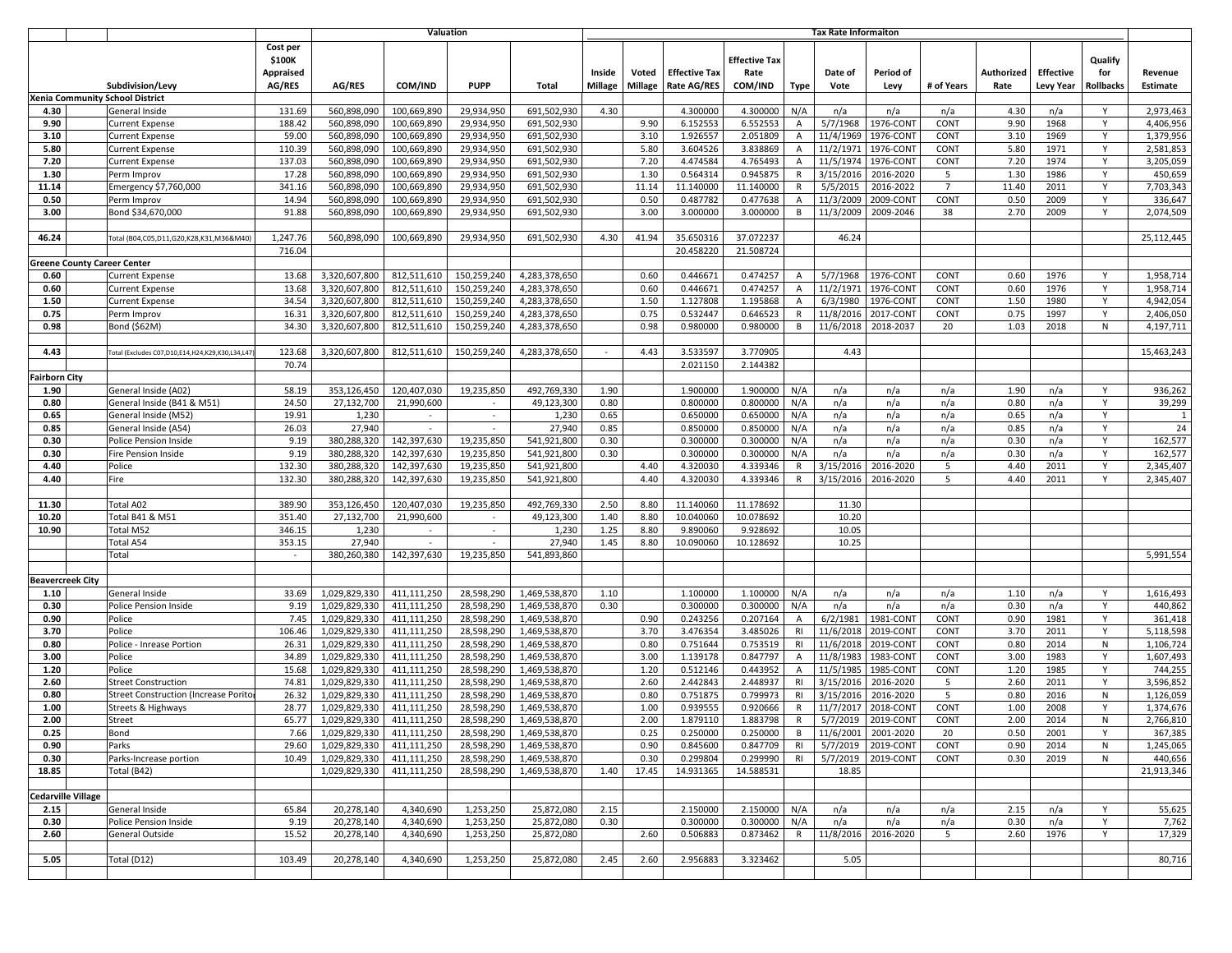|                         |                           |                                                        |                                           | Tax Rate Informaiton                       |                            |                          |                                           |                   |                  |                                            |                                         |                                |                        |                                             |                     |                    |                               |                                    |                        |
|-------------------------|---------------------------|--------------------------------------------------------|-------------------------------------------|--------------------------------------------|----------------------------|--------------------------|-------------------------------------------|-------------------|------------------|--------------------------------------------|-----------------------------------------|--------------------------------|------------------------|---------------------------------------------|---------------------|--------------------|-------------------------------|------------------------------------|------------------------|
|                         |                           | Subdivision/Levy                                       | Cost per<br>\$100K<br>Appraised<br>AG/RES | <b>AG/RES</b>                              | COM/IND                    | <b>PUPP</b>              | Total                                     | Inside<br>Millage | Voted<br>Millage | <b>Effective Tax</b><br><b>Rate AG/RES</b> | <b>Effective Tax</b><br>Rate<br>COM/IND | Type                           | Date of<br>Vote        | Period of<br>Levy                           | # of Years          | Authorized<br>Rate | <b>Effective</b><br>Levy Year | Qualify<br>for<br><b>Rollbacks</b> | Revenue<br>Estimate    |
|                         |                           | Xenia Community School District                        |                                           |                                            |                            |                          |                                           |                   |                  |                                            |                                         |                                |                        |                                             |                     |                    |                               |                                    |                        |
| 4.30                    |                           | General Inside                                         | 131.69                                    | 560,898,090                                | 100,669,890                | 29,934,950               | 691,502,930                               | 4.30              |                  | 4.300000                                   | 4.300000                                | N/A                            | n/a                    | n/a                                         | n/a                 | 4.30               | n/a                           | Y                                  | 2,973,463              |
| 9.90                    |                           | <b>Current Expense</b>                                 | 188.42                                    | 560,898,090                                | 100,669,890                | 29.934.950               | 691,502,930                               |                   | 9.90             | 6.152553                                   | 6.552553                                | A                              | 5/7/1968               | 1976-CONT                                   | CONT                | 9.90               | 1968                          | Y                                  | 4,406,956              |
| 3.10                    |                           | <b>Current Expense</b>                                 | 59.00                                     | 560,898,090                                | 100,669,890                | 29,934,950               | 691,502,930                               |                   | 3.10             | 1.926557                                   | 2.051809                                | $\overline{A}$                 | 11/4/1969              | 1976-CON1                                   | CONT                | 3.10               | 1969                          | Y                                  | 1,379,956              |
| 5.80                    |                           | <b>Current Expense</b>                                 | 110.39                                    | 560,898,090                                | 100,669,890                | 29,934,950               | 691,502,930                               |                   | 5.80             | 3.604526                                   | 3.838869                                | Α                              | 11/2/197               | 1976-CON1                                   | CONT                | 5.80               | 1971                          | Y                                  | 2,581,853              |
| 7.20                    |                           | <b>Current Expense</b>                                 | 137.03                                    | 560,898,090                                | 100,669,890                | 29,934,950               | 691,502,930                               |                   | 7.20             | 4.474584                                   | 4.765493                                | $\overline{A}$                 | 11/5/1974              | 1976-CONT                                   | CONT                | 7.20               | 1974                          | Y                                  | 3,205,059              |
| 1.30                    |                           | Perm Improv                                            | 17.28                                     | 560,898,090                                | 100,669,890                | 29,934,950               | 691,502,930                               |                   | 1.30             | 0.564314                                   | 0.945875                                | R                              | 3/15/201               | 2016-2020                                   | 5<br>$\overline{7}$ | 1.30               | 1986<br>2011                  | Y<br>Y                             | 450,659                |
| 11.14<br>0.50           |                           | Emergency \$7,760,000                                  | 341.16<br>14.94                           | 560,898,090<br>560,898,090                 | 100,669,890                | 29,934,950               | 691,502,930                               |                   | 11.14<br>0.50    | 11.140000<br>0.487782                      | 11.140000<br>0.477638                   | $\mathsf{R}$<br>$\overline{A}$ | 5/5/2015               | 2016-2022                                   | CONT                | 11.40<br>0.50      | 2009                          | Y                                  | 7,703,343              |
| 3.00                    |                           | Perm Improv<br>Bond \$34,670,000                       | 91.88                                     | 560,898,090                                | 100,669,890<br>100,669,890 | 29,934,950<br>29,934,950 | 691,502,930<br>691,502,930                |                   | 3.00             | 3.000000                                   | 3.000000                                | B                              | 11/3/2009<br>11/3/2009 | 2009-CONT<br>2009-2046                      | 38                  | 2.70               | 2009                          | Y                                  | 336,647<br>2,074,509   |
|                         |                           |                                                        |                                           |                                            |                            |                          |                                           |                   |                  |                                            |                                         |                                |                        |                                             |                     |                    |                               |                                    |                        |
| 46.24                   |                           | Total (B04,C05,D11,G20,K28,K31,M36&M40)                | 1,247.76                                  | 560,898,090                                | 100,669,890                | 29,934,950               | 691,502,930                               | 4.30              | 41.94            | 35.650316                                  | 37.072237                               |                                | 46.24                  |                                             |                     |                    |                               |                                    | 25,112,445             |
|                         |                           |                                                        | 716.04                                    |                                            |                            |                          |                                           |                   |                  | 20.458220                                  | 21.508724                               |                                |                        |                                             |                     |                    |                               |                                    |                        |
|                         |                           | reene County Career Center                             |                                           |                                            |                            |                          |                                           |                   |                  |                                            |                                         |                                |                        |                                             |                     |                    |                               |                                    |                        |
| 0.60                    |                           | <b>Current Expense</b>                                 | 13.68                                     | 3,320,607,800                              | 812,511,610                | 150,259,240              | 4,283,378,650                             |                   | 0.60             | 0.446671                                   | 0.474257                                | $\overline{A}$                 | 5/7/1968               | 1976-CON                                    | CONT                | 0.60               | 1976                          | Y                                  | 1,958,714              |
| 0.60                    |                           | <b>Current Expense</b>                                 | 13.68                                     | 3,320,607,800                              | 812,511,610                | 150,259,240              | 4,283,378,650                             |                   | 0.60             | 0.446671                                   | 0.474257                                | $\overline{A}$                 | 11/2/197               | 1976-CON                                    | CONT                | 0.60               | 1976                          | Y                                  | 1,958,714              |
| 1.50                    |                           | <b>Current Expense</b>                                 | 34.54                                     | 3,320,607,800                              | 812,511,610                | 150,259,240              | 4,283,378,650                             |                   | 1.50             | 1.127808                                   | 1.195868                                | A                              | 6/3/1980               | 1976-CON                                    | CONT                | 1.50               | 1980                          | Y                                  | 4,942,054              |
| 0.75                    |                           | Perm Improv                                            | 16.31                                     | 3,320,607,800                              | 812,511,610                | 150,259,240              | 4,283,378,650                             |                   | 0.75             | 0.532447                                   | 0.646523                                | R                              | 11/8/2016              | 2017-CONT                                   | CONT                | 0.75               | 1997                          | Y                                  | 2,406,050              |
| 0.98                    |                           | Bond (\$62M)                                           | 34.30                                     | 3,320,607,800                              | 812,511,610                | 150,259,240              | 4,283,378,650                             |                   | 0.98             | 0.980000                                   | 0.980000                                | B                              | 11/6/2018              | 2018-2037                                   | 20                  | 1.03               | 2018                          | N                                  | 4,197,711              |
|                         |                           |                                                        |                                           |                                            |                            |                          |                                           |                   |                  |                                            |                                         |                                |                        |                                             |                     |                    |                               |                                    |                        |
| 4.43                    |                           | Total (Excludes C07, D10, E14, H24, K29, K30, L34, L47 | 123.68                                    | 3.320.607.800                              | 812,511,610                | 150,259,240              | 4,283,378,650                             | $\sim$            | 4.43             | 3.533597                                   | 3.770905                                |                                | 4.43                   |                                             |                     |                    |                               |                                    | 15,463,243             |
|                         |                           |                                                        | 70.74                                     |                                            |                            |                          |                                           |                   |                  | 2.021150                                   | 2.144382                                |                                |                        |                                             |                     |                    |                               |                                    |                        |
| airborn City            |                           |                                                        |                                           |                                            |                            |                          |                                           |                   |                  |                                            |                                         |                                |                        |                                             |                     |                    |                               |                                    |                        |
| 1.90                    |                           | General Inside (A02)                                   | 58.19                                     | 353,126,450                                | 120,407,030                | 19,235,850               | 492,769,330                               | 1.90              |                  | 1.900000                                   | 1.900000                                | N/A                            | n/a                    | n/a                                         | n/a                 | 1.90               | n/a                           | Y                                  | 936,262                |
| 0.80                    |                           | General Inside (B41 & M51)                             | 24.50                                     | 27,132,700                                 | 21,990,600                 | $\sim$                   | 49,123,300                                | 0.80              |                  | 0.800000                                   | 0.800000                                | N/A                            | n/a                    | n/a                                         | n/a                 | 0.80               | n/a                           | Y                                  | 39,299                 |
| 0.65                    |                           | General Inside (M52)                                   | 19.91                                     | 1,230                                      | $\sim$                     | $\sim$                   | 1,230                                     | 0.65              |                  | 0.650000                                   | 0.650000                                | N/A                            | n/a                    | n/a                                         | n/a                 | 0.65               | n/a                           | Y                                  | $\mathbf{1}$           |
| 0.85                    |                           | General Inside (A54)                                   | 26.03                                     | 27,940                                     |                            |                          | 27,940                                    | 0.85              |                  | 0.850000                                   | 0.850000                                | N/A                            | n/a                    | n/a                                         | n/a                 | 0.85               | n/a                           | Y                                  | 24                     |
| 0.30                    |                           | <b>Police Pension Inside</b>                           | 9.19                                      | 380,288,320                                | 142,397,630                | 19,235,850               | 541,921,800                               | 0.30              |                  | 0.300000                                   | 0.300000                                | N/A                            | n/a                    | n/a                                         | n/a                 | 0.30               | n/a                           | Y                                  | 162,577                |
| 0.30                    |                           | Fire Pension Inside                                    | 9.19<br>132.30                            | 380,288,320<br>380,288,320                 | 142,397,630<br>142,397,630 | 19,235,850<br>19,235,850 | 541,921,800<br>541,921,800                | 0.30              | 4.40             | 0.300000<br>4.320030                       | 0.300000<br>4.339346                    | N/A                            | n/a<br>3/15/201        | n/a<br>2016-2020                            | n/a<br>5            | 0.30<br>4.40       | n/a<br>2011                   | Y                                  | 162,577                |
| 4.40<br>4.40            |                           | Police<br>Fire                                         | 132.30                                    | 380.288.320                                | 142,397,630                | 19,235,850               | 541,921,800                               |                   | 4.40             | 4.320030                                   | 4.339346                                | R<br>R                         | 3/15/2016              | 2016-2020                                   | 5                   | 4.40               | 2011                          | Y                                  | 2,345,407<br>2,345,407 |
|                         |                           |                                                        |                                           |                                            |                            |                          |                                           |                   |                  |                                            |                                         |                                |                        |                                             |                     |                    |                               |                                    |                        |
| 11.30                   |                           | Total A02                                              | 389.90                                    | 353,126,450                                | 120,407,030                | 19,235,850               | 492,769,330                               | 2.50              | 8.80             | 11.140060                                  | 11.178692                               |                                | 11.30                  |                                             |                     |                    |                               |                                    |                        |
| 10.20                   |                           | Total B41 & M51                                        | 351.40                                    | 27,132,700                                 | 21,990,600                 |                          | 49,123,300                                | 1.40              | 8.80             | 10.040060                                  | 10.078692                               |                                | 10.20                  |                                             |                     |                    |                               |                                    |                        |
| 10.90                   |                           | Total M52                                              | 346.15                                    | 1,230                                      | $\sim$                     | $\sim$                   | 1,230                                     | 1.25              | 8.80             | 9.890060                                   | 9.928692                                |                                | 10.05                  |                                             |                     |                    |                               |                                    |                        |
|                         |                           | Total A54                                              | 353.15                                    | 27,940                                     |                            | $\sim$                   | 27,940                                    | 1.45              | 8.80             | 10.090060                                  | 10.128692                               |                                | 10.25                  |                                             |                     |                    |                               |                                    |                        |
|                         |                           | Total                                                  | $\blacksquare$                            | 380,260,380                                | 142,397,630                | 19,235,850               | 541,893,860                               |                   |                  |                                            |                                         |                                |                        |                                             |                     |                    |                               |                                    | 5,991,554              |
|                         |                           |                                                        |                                           |                                            |                            |                          |                                           |                   |                  |                                            |                                         |                                |                        |                                             |                     |                    |                               |                                    |                        |
| <b>Beavercreek City</b> |                           |                                                        |                                           |                                            |                            |                          |                                           |                   |                  |                                            |                                         |                                |                        |                                             |                     |                    |                               |                                    |                        |
| 1.10                    |                           | General Inside                                         | 33.69                                     | 1,029,829,330                              | 411,111,250                | 28,598,290               | 1,469,538,870                             | 1.10              |                  | 1.100000                                   | 1.100000                                | N/A                            | n/a                    | n/a                                         | n/a                 | 1.10               | n/a                           | Y                                  | 1,616,493              |
| 0.30                    |                           | Police Pension Inside                                  | 9.19                                      | 1,029,829,330                              | 411,111,250                | 28,598,290               | 1,469,538,870                             | 0.30              |                  | 0.300000                                   | 0.300000                                | N/A                            | n/a                    | n/a                                         | n/a                 | 0.30               | n/a                           | Y                                  | 440,862                |
| 0.90                    |                           | Police                                                 | 7.45                                      | 1,029,829,330                              | 411,111,250                | 28,598,290               | 1,469,538,870                             |                   | 0.90             | 0.243256                                   | 0.207164                                | A                              | 6/2/1981               | 1981-CONT                                   | CONT                | 0.90               | 1981                          | Y                                  | 361,418                |
| 3.70                    |                           | Police                                                 | 106.46                                    | 1,029,829,330                              | 411.111.250                | 28,598,290               | 1,469,538,870                             |                   | 3.70             | 3.476354                                   | 3.485026                                | RI                             | 11/6/2018              | 2019-CONT                                   | CONT                | 3.70               | 2011                          | Y                                  | 5,118,598              |
| 0.80                    |                           | Police - Inrease Portion                               | 26.31                                     | 1,029,829,330                              | 411,111,250                | 28,598,290               | 1,469,538,870                             |                   | 0.80             | 0.751644                                   | 0.753519                                | <b>RI</b>                      | 11/6/2018              | 2019-CONT                                   | CONT                | 0.80               | 2014                          | N                                  | 1,106,724              |
| 3.00                    |                           | Police                                                 | 34.89                                     | 1,029,829,330                              | 411,111,250                | 28,598,290               | 1,469,538,870                             |                   | 3.00             | 1.139178                                   | 0.847797                                | $\overline{A}$                 | 11/8/198               | 1983-CONT                                   | CONT                | 3.00               | 1983                          | Y                                  | 1,607,493              |
| 1.20                    |                           | Police                                                 | 15.68                                     | 1,029,829,330                              | 411.111.250                | 28,598,290               | 1,469,538,870                             |                   | 1.20             | 0.512146                                   | 0.443952                                | $\overline{A}$                 | 11/5/1985              | 1985-CONT                                   | CONT                | 1.20               | 1985                          | Y                                  | 744,255                |
| 2.60                    |                           | <b>Street Construction</b>                             | 74.81                                     | 1,029,829,330                              | 411,111,250                | 28,598,290               | 1,469,538,870                             |                   | 2.60             | 2.442843                                   | 2.448937                                | R1                             | 3/15/2016              | 2016-2020                                   | -5                  | 2.60               | 2011                          | Y                                  | 3,596,852              |
| 0.80                    |                           | <b>Street Construction (Increase Porito</b>            | 26.32                                     | 1,029,829,330                              | 411.111.250                | 28.598.290               | 1,469,538,870                             |                   | 0.80             | 0.751875                                   | 0.799973                                | R1                             | 3/15/201               | 2016-2020                                   | 5                   | 0.80               | 2016                          | N                                  | 1,126,059              |
| 1.00<br>2.00            |                           | <b>Streets &amp; Highways</b>                          | 28.77<br>65.77                            | 1,029,829,330                              | 411,111,250                | 28,598,290               | 1,469,538,870                             |                   | 1.00<br>2.00     | 0.939555<br>1.879110                       | 0.920666<br>1.883798                    | $\mathsf{R}$                   | 11/7/201               | 2018-CONT<br>2019-CONT                      | CONT<br>CONT        | 1.00<br>2.00       | 2008<br>2014                  | Y                                  | 1,374,676              |
| 0.25                    |                           | Street                                                 |                                           | 1,029,829,330<br>1,029,829,330 411,111,250 | 411,111,250                | 28,598,290               | 1,469,538,870<br>28,598,290 1,469,538,870 |                   |                  |                                            | 0.250000                                | R                              | 5/7/2019               |                                             |                     | 0.50               | 2001                          | N<br>Y                             | 2,766,810              |
| 0.90                    |                           | Bond<br>Parks                                          | 7.66<br>29.60                             | 1,029,829,330 411,111,250                  |                            | 28,598,290               | 1,469,538,870                             |                   | 0.25<br>0.90     | 0.250000<br>0.845600                       | 0.847709                                | <b>RI</b>                      |                        | B 11/6/2001 2001-2020<br>5/7/2019 2019-CONT | 20<br>CONT          | 0.90               | 2014                          | N                                  | 367,385<br>1,245,065   |
| 0.30                    |                           | Parks-Increase portion                                 | 10.49                                     | 1,029,829,330 411,111,250                  |                            | 28,598,290               | 1,469,538,870                             |                   | 0.30             | 0.299804                                   | 0.299990                                | R1                             |                        | 5/7/2019 2019-CONT                          | CONT                | 0.30               | 2019                          | N                                  | 440,656                |
| 18.85                   |                           | Total (B42)                                            |                                           | 1,029,829,330 411,111,250                  |                            | 28,598,290               | 1,469,538,870                             | 1.40              | 17.45            | 14.931365                                  | 14.588531                               |                                | 18.85                  |                                             |                     |                    |                               |                                    | 21,913,346             |
|                         |                           |                                                        |                                           |                                            |                            |                          |                                           |                   |                  |                                            |                                         |                                |                        |                                             |                     |                    |                               |                                    |                        |
|                         | <b>Cedarville Village</b> |                                                        |                                           |                                            |                            |                          |                                           |                   |                  |                                            |                                         |                                |                        |                                             |                     |                    |                               |                                    |                        |
| 2.15                    |                           | General Inside                                         | 65.84                                     | 20,278,140                                 | 4,340,690                  | 1,253,250                | 25,872,080                                | 2.15              |                  | 2.150000                                   | 2.150000                                | N/A                            | n/a                    | n/a                                         | n/a                 | 2.15               | n/a                           | Y                                  | 55,625                 |
| 0.30                    |                           | Police Pension Inside                                  | 9.19                                      | 20,278,140                                 | 4,340,690                  | 1,253,250                | 25,872,080                                | 0.30              |                  | 0.300000                                   | 0.300000                                | N/A                            | n/a                    | n/a                                         | n/a                 | 0.30               | n/a                           | Y                                  | 7,762                  |
| 2.60                    |                           | General Outside                                        | 15.52                                     | 20,278,140                                 | 4,340,690                  | 1,253,250                | 25,872,080                                |                   | 2.60             | 0.506883                                   | 0.873462                                | R                              | 11/8/2016              | 2016-2020                                   | 5                   | 2.60               | 1976                          | Y                                  | 17,329                 |
|                         |                           |                                                        |                                           |                                            |                            |                          |                                           |                   |                  |                                            |                                         |                                |                        |                                             |                     |                    |                               |                                    |                        |
| 5.05                    |                           | Total (D12)                                            | 103.49                                    | 20,278,140                                 | 4,340,690                  | 1,253,250                | 25,872,080                                | 2.45              | 2.60             | 2.956883                                   | 3.323462                                |                                | 5.05                   |                                             |                     |                    |                               |                                    | 80,716                 |
|                         |                           |                                                        |                                           |                                            |                            |                          |                                           |                   |                  |                                            |                                         |                                |                        |                                             |                     |                    |                               |                                    |                        |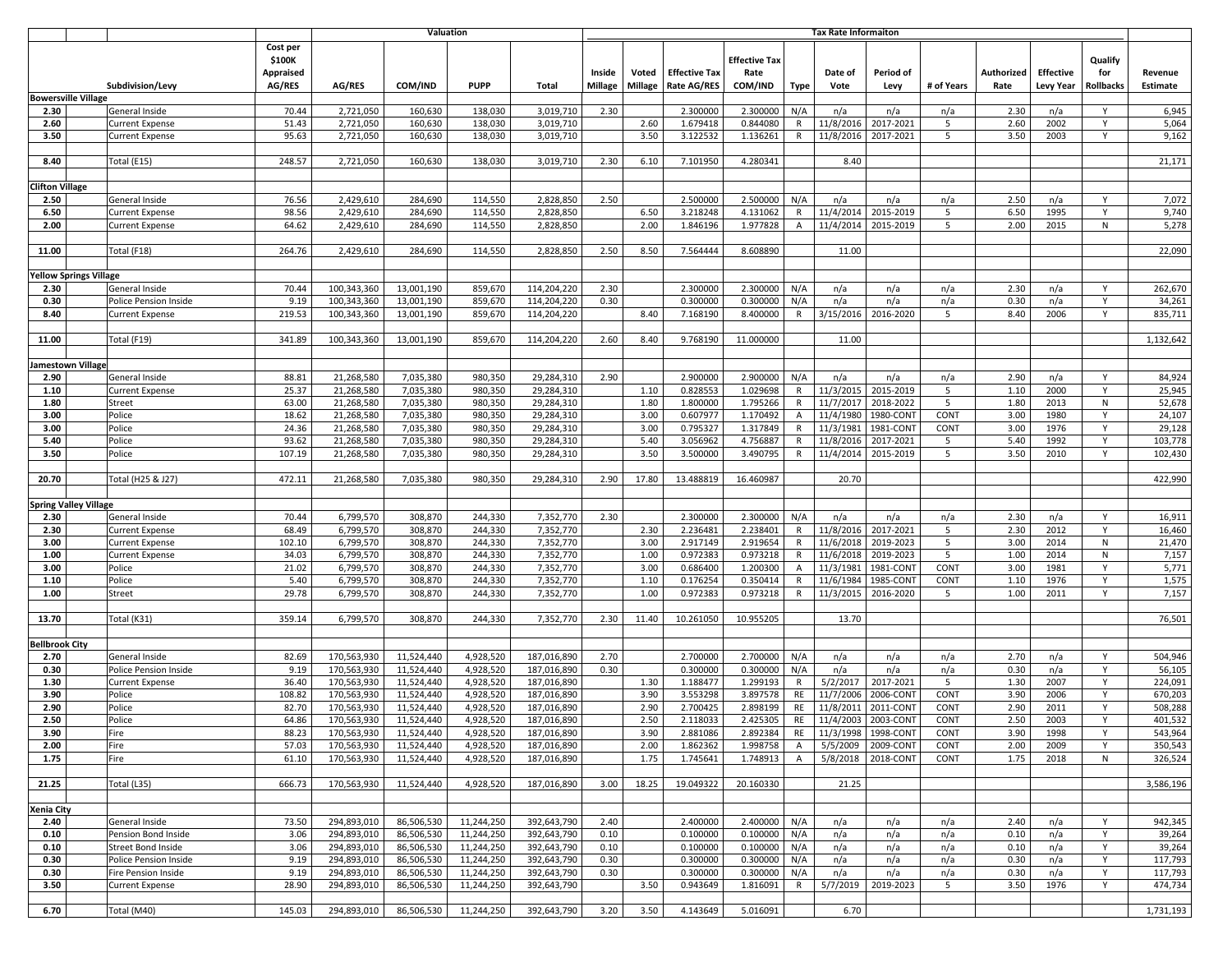| <b>Valuation</b> |                              |                                                  |                                                  |                            |                          |                          | <b>Tax Rate Informaiton</b> |                          |                         |                                     |                                         |                |                        |                       |              |                    |                                      |                             |                     |
|------------------|------------------------------|--------------------------------------------------|--------------------------------------------------|----------------------------|--------------------------|--------------------------|-----------------------------|--------------------------|-------------------------|-------------------------------------|-----------------------------------------|----------------|------------------------|-----------------------|--------------|--------------------|--------------------------------------|-----------------------------|---------------------|
|                  |                              | Subdivision/Levy                                 | Cost per<br>\$100K<br><b>Appraised</b><br>AG/RES | AG/RES                     | COM/IND                  | <b>PUPP</b>              | Total                       | Inside<br><b>Millage</b> | Voted<br><b>Millage</b> | <b>Effective Tax</b><br>Rate AG/RES | <b>Effective Tax</b><br>Rate<br>COM/IND | <b>Type</b>    | Date of<br>Vote        | Period of<br>Levy     | # of Years   | Authorized<br>Rate | <b>Effective</b><br><b>Levy Year</b> | Qualify<br>for<br>Rollbacks | Revenue<br>Estimate |
|                  | <b>Bowersville Village</b>   |                                                  |                                                  |                            |                          |                          |                             |                          |                         |                                     |                                         |                |                        |                       |              |                    |                                      |                             |                     |
| 2.30             |                              | General Inside                                   | 70.44                                            | 2,721,050                  | 160,630                  | 138,030                  | 3,019,710                   | 2.30                     |                         | 2.300000                            | 2.300000                                | N/A            | n/a                    | n/a                   | n/a          | 2.30               | n/a                                  | Y                           | 6,945               |
| 2.60             |                              | Current Expense                                  | 51.43                                            | 2,721,050                  | 160,630                  | 138,030                  | 3,019,710                   |                          | 2.60                    | 1.679418                            | 0.844080                                | $\mathsf{R}$   | 11/8/2016              | 2017-2021             | 5            | 2.60               | 2002                                 | Y                           | 5,064               |
| 3.50             |                              | <b>Current Expense</b>                           | 95.63                                            | 2,721,050                  | 160,630                  | 138,030                  | 3,019,710                   |                          | 3.50                    | 3.122532                            | 1.136261                                | R              | 11/8/2016              | 2017-2021             | 5            | 3.50               | 2003                                 | Y                           | 9,162               |
|                  |                              |                                                  |                                                  |                            |                          |                          |                             |                          |                         |                                     |                                         |                |                        |                       |              |                    |                                      |                             |                     |
| 8.40             |                              | Total (E15)                                      | 248.57                                           | 2,721,050                  | 160,630                  | 138,030                  | 3,019,710                   | 2.30                     | 6.10                    | 7.101950                            | 4.280341                                |                | 8.40                   |                       |              |                    |                                      |                             | 21,171              |
|                  |                              |                                                  |                                                  |                            |                          |                          |                             |                          |                         |                                     |                                         |                |                        |                       |              |                    |                                      |                             |                     |
| Clifton Village  |                              |                                                  |                                                  |                            |                          |                          |                             |                          |                         |                                     |                                         |                |                        |                       |              |                    |                                      | Y                           |                     |
| 2.50<br>6.50     |                              | General Inside<br><b>Current Expense</b>         | 76.56<br>98.56                                   | 2,429,610<br>2,429,610     | 284,690<br>284,690       | 114,550<br>114,550       | 2,828,850<br>2,828,850      | 2.50                     | 6.50                    | 2.500000<br>3.218248                | 2.500000<br>4.131062                    | N/A<br>R       | n/a<br>11/4/2014       | n/a<br>2015-2019      | n/a<br>5     | 2.50<br>6.50       | n/a<br>1995                          | Y                           | 7,072<br>9,740      |
| 2.00             |                              | <b>Current Expense</b>                           | 64.62                                            | 2,429,610                  | 284,690                  | 114,550                  | 2,828,850                   |                          | 2.00                    | 1.846196                            | 1.977828                                | $\mathsf{A}$   | 11/4/2014              | 2015-2019             | 5            | 2.00               | 2015                                 | ${\sf N}$                   | 5,278               |
|                  |                              |                                                  |                                                  |                            |                          |                          |                             |                          |                         |                                     |                                         |                |                        |                       |              |                    |                                      |                             |                     |
| 11.00            |                              | Total (F18)                                      | 264.76                                           | 2,429,610                  | 284,690                  | 114,550                  | 2,828,850                   | 2.50                     | 8.50                    | 7.564444                            | 8.608890                                |                | 11.00                  |                       |              |                    |                                      |                             | 22,090              |
|                  |                              |                                                  |                                                  |                            |                          |                          |                             |                          |                         |                                     |                                         |                |                        |                       |              |                    |                                      |                             |                     |
|                  | ellow Springs Village        |                                                  |                                                  |                            |                          |                          |                             |                          |                         |                                     |                                         |                |                        |                       |              |                    |                                      |                             |                     |
| 2.30             |                              | General Inside                                   | 70.44                                            | 100,343,360                | 13,001,190               | 859,670                  | 114,204,220                 | 2.30                     |                         | 2.300000                            | 2.300000                                | N/A            | n/a                    | n/a                   | n/a          | 2.30               | n/a                                  | Y                           | 262,670             |
| 0.30             |                              | Police Pension Inside                            | 9.19                                             | 100,343,360                | 13,001,190               | 859,670                  | 114,204,220                 | 0.30                     |                         | 0.300000                            | 0.300000                                | N/A            | n/a                    | n/a                   | n/a          | 0.30               | n/a                                  | Y                           | 34,261              |
| 8.40             |                              | <b>Current Expense</b>                           | 219.53                                           | 100,343,360                | 13,001,190               | 859,670                  | 114,204,220                 |                          | 8.40                    | 7.168190                            | 8.400000                                | R              | 3/15/2016              | 2016-2020             | 5            | 8.40               | 2006                                 | Y                           | 835,711             |
| 11.00            |                              | Total (F19)                                      | 341.89                                           | 100,343,360                | 13,001,190               | 859,670                  | 114,204,220                 | 2.60                     | 8.40                    | 9.768190                            | 11.000000                               |                | 11.00                  |                       |              |                    |                                      |                             | 1,132,642           |
|                  |                              |                                                  |                                                  |                            |                          |                          |                             |                          |                         |                                     |                                         |                |                        |                       |              |                    |                                      |                             |                     |
|                  | amestown Village             |                                                  |                                                  |                            |                          |                          |                             |                          |                         |                                     |                                         |                |                        |                       |              |                    |                                      |                             |                     |
| 2.90             |                              | General Inside                                   | 88.81                                            | 21,268,580                 | 7,035,380                | 980,350                  | 29,284,310                  | 2.90                     |                         | 2.900000                            | 2.900000                                | N/A            | n/a                    | n/a                   | n/a          | 2.90               | n/a                                  | Y                           | 84,924              |
| 1.10             |                              | <b>Current Expense</b>                           | 25.37                                            | 21,268,580                 | 7,035,380                | 980,350                  | 29,284,310                  |                          | 1.10                    | 0.828553                            | 1.029698                                | R              | 11/3/2015              | 2015-2019             | 5            | 1.10               | 2000                                 | Y                           | 25,945              |
| 1.80             |                              | Street                                           | 63.00                                            | 21,268,580                 | 7,035,380                | 980,350                  | 29,284,310                  |                          | 1.80                    | 1.800000                            | 1.795266                                | R              | 11/7/2017              | 2018-2022             | 5            | 1.80               | 2013                                 | ${\sf N}$                   | 52,678              |
| 3.00             |                              | Police                                           | 18.62                                            | 21.268.580                 | 7,035,380                | 980,350                  | 29,284,310                  |                          | 3.00                    | 0.607977                            | 1.170492                                | $\mathsf{A}$   | 11/4/1980              | 1980-CONT             | CONT         | 3.00               | 1980                                 | Y                           | 24,107              |
| 3.00             |                              | Police                                           | 24.36                                            | 21,268,580                 | 7,035,380                | 980,350                  | 29,284,310                  |                          | 3.00                    | 0.795327                            | 1.317849                                | $\mathsf{R}$   | 11/3/1981              | 1981-CONT             | CONT         | 3.00               | 1976                                 | Y                           | 29,128              |
| 5.40             |                              | Police                                           | 93.62                                            | 21,268,580                 | 7,035,380                | 980,350                  | 29,284,310                  |                          | 5.40                    | 3.056962                            | 4.756887                                | $\mathsf{R}$   | 11/8/2016              | 2017-2021             | 5            | 5.40               | 1992                                 | Y                           | 103,778             |
| 3.50             |                              | Police                                           | 107.19                                           | 21,268,580                 | 7,035,380                | 980,350                  | 29,284,310                  |                          | 3.50                    | 3.500000                            | 3.490795                                | R              | 11/4/2014              | 2015-2019             | 5            | 3.50               | 2010                                 | Y                           | 102,430             |
| 20.70            |                              | Total (H25 & J27)                                | 472.11                                           | 21,268,580                 | 7,035,380                | 980,350                  | 29,284,310                  | 2.90                     | 17.80                   | 13.488819                           | 16.460987                               |                | 20.70                  |                       |              |                    |                                      |                             | 422,990             |
|                  |                              |                                                  |                                                  |                            |                          |                          |                             |                          |                         |                                     |                                         |                |                        |                       |              |                    |                                      |                             |                     |
|                  | <b>Spring Valley Village</b> |                                                  |                                                  |                            |                          |                          |                             |                          |                         |                                     |                                         |                |                        |                       |              |                    |                                      |                             |                     |
| 2.30             |                              | General Inside                                   | 70.44                                            | 6,799,570                  | 308,870                  | 244,330                  | 7,352,770                   | 2.30                     |                         | 2.300000                            | 2.300000                                | N/A            | n/a                    | n/a                   | n/a          | 2.30               | n/a                                  | Y                           | 16,911              |
| 2.30             |                              | Current Expense                                  | 68.49                                            | 6,799,570                  | 308,870                  | 244,330                  | 7,352,770                   |                          | 2.30                    | 2.236481                            | 2.238401                                | R              | 11/8/2016              | 2017-2021             | 5            | 2.30               | 2012                                 | Y                           | 16,460              |
| 3.00             |                              | <b>Current Expense</b>                           | 102.10                                           | 6,799,570                  | 308,870                  | 244,330                  | 7,352,770                   |                          | 3.00                    | 2.917149                            | 2.919654                                | R              | 11/6/2018              | 2019-2023             | 5            | 3.00               | 2014                                 | ${\sf N}$                   | 21,470              |
| 1.00             |                              | <b>Current Expense</b>                           | 34.03                                            | 6,799,570                  | 308,870                  | 244,330                  | 7,352,770                   |                          | 1.00                    | 0.972383                            | 0.973218                                | R              | 11/6/2018              | 2019-2023             | 5            | 1.00               | 2014                                 | ${\sf N}$                   | 7,157               |
| 3.00             |                              | Police                                           | 21.02                                            | 6,799,570                  | 308,870                  | 244,330                  | 7,352,770                   |                          | 3.00                    | 0.686400                            | 1.200300                                | $\mathsf{A}$   | 11/3/1983              | 1981-CONT             | CONT         | 3.00               | 1981                                 | Y                           | 5,771               |
| 1.10             |                              | Police                                           | 5.40                                             | 6,799,570                  | 308,870                  | 244,330                  | 7,352,770                   |                          | 1.10                    | 0.176254                            | 0.350414                                | R              | 11/6/1984              | 1985-CONT             | CONT         | 1.10               | 1976                                 | Y                           | 1,575               |
| 1.00             |                              | Street                                           | 29.78                                            | 6,799,570                  | 308,870                  | 244,330                  | 7,352,770                   |                          | 1.00                    | 0.972383                            | 0.973218                                | R              | 11/3/2015              | 2016-2020             | 5            | 1.00               | 2011                                 | Y                           | 7,157               |
| 13.70            |                              | Total (K31)                                      | 359.14                                           | 6,799,570                  | 308,870                  | 244,330                  | 7,352,770                   | 2.30                     | 11.40                   | 10.261050                           | 10.955205                               |                | 13.70                  |                       |              |                    |                                      |                             | 76,501              |
|                  |                              |                                                  |                                                  |                            |                          |                          |                             |                          |                         |                                     |                                         |                |                        |                       |              |                    |                                      |                             |                     |
| Bellbrook City   |                              |                                                  |                                                  |                            |                          |                          |                             |                          |                         |                                     |                                         |                |                        |                       |              |                    |                                      |                             |                     |
| 2.70             |                              | General Inside                                   | 82.69                                            | 170,563,930                | 11,524,440               | 4,928,520                | 187,016,890                 | 2.70                     |                         | 2.700000                            | 2.700000                                | N/A            | n/a                    | n/a                   | n/a          | 2.70               | n/a                                  | Y                           | 504,946             |
| 0.30             |                              | Police Pension Inside                            | 9.19                                             | 170,563,930                | 11,524,440               | 4,928,520                | 187,016,890                 | 0.30                     |                         | 0.300000                            | 0.300000                                | N/A            | n/a                    | n/a                   | n/a          | 0.30               | n/a                                  | Y                           | 56,105              |
| 1.30             |                              | <b>Current Expense</b>                           | 36.40                                            | 170,563,930                | 11,524,440               | 4,928,520                | 187,016,890                 |                          | 1.30                    | 1.188477                            | 1.299193                                | R              | 5/2/2017               | 2017-2021             | 5            | 1.30               | 2007                                 | Y                           | 224,091             |
| 3.90             |                              | Police                                           | 108.82                                           | 170,563,930                | 11,524,440               | 4,928,520                | 187,016,890                 |                          | 3.90                    | 3.553298                            | 3.897578                                | RE             | 11/7/2006              | 2006-CONT             | CONT         | 3.90               | 2006                                 | Y<br>Y                      | 670,203             |
| 2.90<br>2.50     |                              | Police<br>Police                                 | 82.70<br>64.86                                   | 170,563,930<br>170,563,930 | 11,524,440<br>11,524,440 | 4,928,520<br>4,928,520   | 187,016,890<br>187,016,890  |                          | 2.90<br>2.50            | 2.700425<br>2.118033                | 2.898199<br>2.425305                    | RE<br>RE       | 11/8/2011<br>11/4/2003 | 2011-CON<br>2003-CON1 | CONT<br>CONT | 2.90<br>2.50       | 2011<br>2003                         | Y                           | 508,288<br>401,532  |
| 3.90             |                              | Fire                                             | 88.23                                            | 170,563,930                | 11,524,440               | 4,928,520                | 187,016,890                 |                          | 3.90                    | 2.881086                            | 2.892384                                | RE             | 11/3/1998 1998-CONT    |                       | CONT         | 3.90               | 1998                                 | Y                           | 543,964             |
| 2.00             |                              | Fire                                             | 57.03                                            | 170,563,930                | 11,524,440               | 4,928,520                | 187,016,890                 |                          | 2.00                    | 1.862362                            | 1.998758                                | $\mathsf{A}$   | 5/5/2009               | 2009-CONT             | CONT         | 2.00               | 2009                                 | Y                           | 350,543             |
| 1.75             |                              | Fire                                             | 61.10                                            | 170,563,930                | 11,524,440               | 4,928,520                | 187,016,890                 |                          | 1.75                    | 1.745641                            | 1.748913                                | $\overline{A}$ | 5/8/2018               | 2018-CONT             | CONT         | 1.75               | 2018                                 | ${\sf N}$                   | 326,524             |
|                  |                              |                                                  |                                                  |                            |                          |                          |                             |                          |                         |                                     |                                         |                |                        |                       |              |                    |                                      |                             |                     |
| 21.25            |                              | Total (L35)                                      | 666.73                                           | 170,563,930                | 11,524,440               | 4,928,520                | 187,016,890                 | 3.00                     | 18.25                   | 19.049322                           | 20.160330                               |                | 21.25                  |                       |              |                    |                                      |                             | 3,586,196           |
|                  |                              |                                                  |                                                  |                            |                          |                          |                             |                          |                         |                                     |                                         |                |                        |                       |              |                    |                                      |                             |                     |
| Xenia City       |                              |                                                  |                                                  |                            |                          |                          |                             |                          |                         |                                     |                                         |                |                        |                       |              |                    |                                      |                             |                     |
| 2.40             |                              | General Inside                                   | 73.50                                            | 294,893,010                | 86,506,530               | 11,244,250               | 392,643,790                 | 2.40                     |                         | 2.400000                            | 2.400000                                | N/A            | n/a                    | n/a                   | n/a          | 2.40               | n/a                                  | Y                           | 942,345             |
| 0.10<br>0.10     |                              | Pension Bond Inside<br><b>Street Bond Inside</b> | 3.06<br>3.06                                     | 294,893,010<br>294,893,010 | 86,506,530<br>86,506,530 | 11,244,250<br>11,244,250 | 392,643,790<br>392,643,790  | 0.10<br>0.10             |                         | 0.100000<br>0.100000                | 0.100000<br>0.100000                    | N/A<br>N/A     | n/a<br>n/a             | n/a<br>n/a            | n/a<br>n/a   | 0.10<br>0.10       | n/a<br>n/a                           | Y<br>Y                      | 39,264<br>39,264    |
| 0.30             |                              | Police Pension Inside                            | 9.19                                             | 294,893,010                | 86,506,530               | 11,244,250               | 392,643,790                 | 0.30                     |                         | 0.300000                            | 0.300000                                | N/A            | n/a                    | n/a                   | n/a          | 0.30               | n/a                                  | Y                           | 117,793             |
| 0.30             |                              | Fire Pension Inside                              | 9.19                                             | 294,893,010                | 86,506,530               | 11,244,250               | 392,643,790                 | 0.30                     |                         | 0.300000                            | 0.300000                                | N/A            | n/a                    | n/a                   | n/a          | 0.30               | n/a                                  | Y                           | 117,793             |
| 3.50             |                              | <b>Current Expense</b>                           | 28.90                                            | 294,893,010                | 86,506,530               | 11,244,250               | 392,643,790                 |                          | 3.50                    | 0.943649                            | 1.816091                                | R              | 5/7/2019               | 2019-2023             | 5            | 3.50               | 1976                                 | Y                           | 474,734             |
|                  |                              |                                                  |                                                  |                            |                          |                          |                             |                          |                         |                                     |                                         |                |                        |                       |              |                    |                                      |                             |                     |
| 6.70             |                              | Total (M40)                                      | 145.03                                           | 294,893,010                | 86,506,530               | 11,244,250               | 392,643,790                 | 3.20                     | 3.50                    | 4.143649                            | 5.016091                                |                | 6.70                   |                       |              |                    |                                      |                             | 1,731,193           |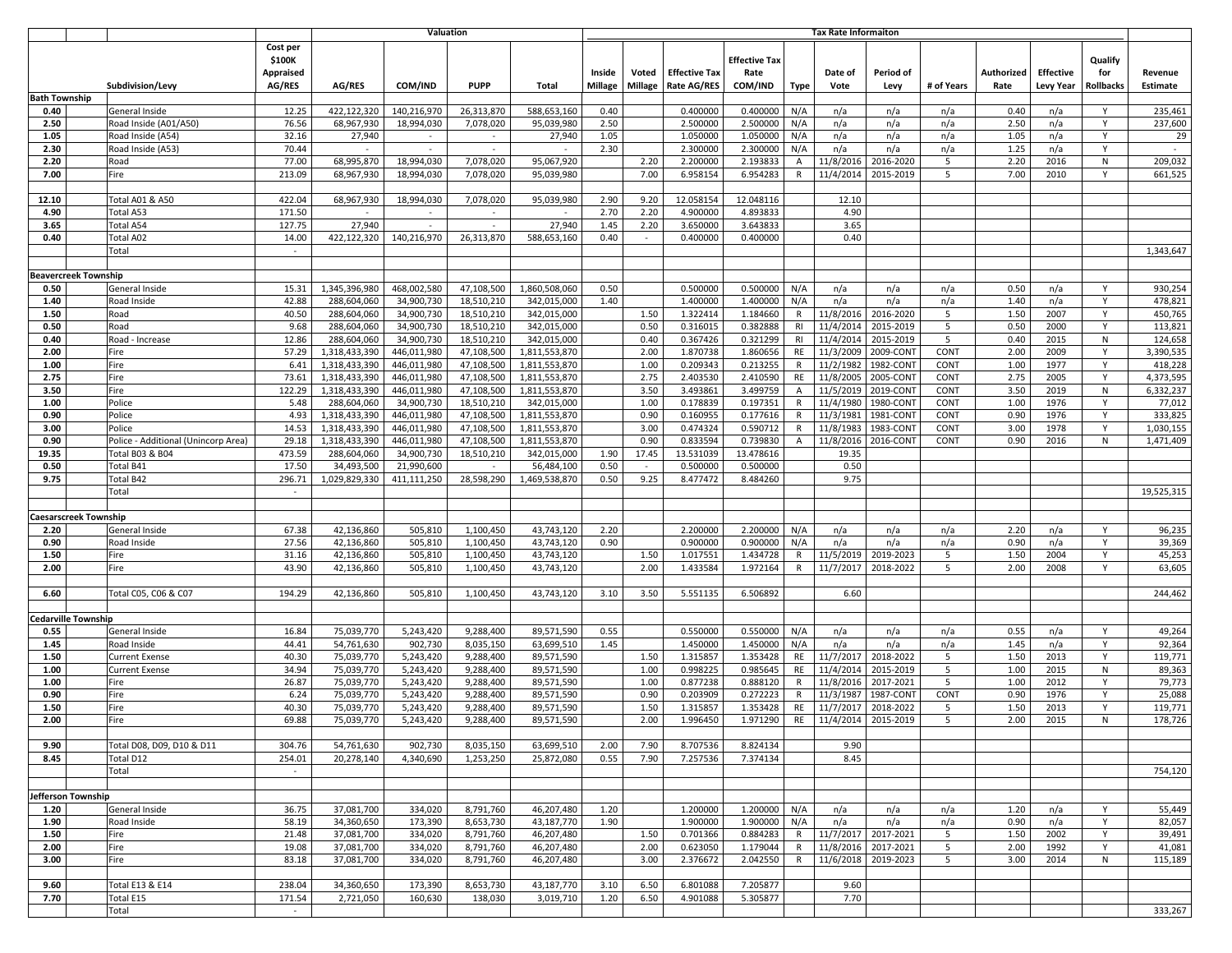|                      |                             |                                                        |                                           |                              | Valuation                  |                          | <b>Tax Rate Informaiton</b>  |                   |                  |                                            |                                         |              |                    |                     |              |                    |                                      |                             |                            |
|----------------------|-----------------------------|--------------------------------------------------------|-------------------------------------------|------------------------------|----------------------------|--------------------------|------------------------------|-------------------|------------------|--------------------------------------------|-----------------------------------------|--------------|--------------------|---------------------|--------------|--------------------|--------------------------------------|-----------------------------|----------------------------|
| <b>Bath Township</b> |                             | Subdivision/Levy                                       | Cost per<br>\$100K<br>Appraised<br>AG/RES | AG/RES                       | COM/IND                    | <b>PUPP</b>              | Total                        | Inside<br>Millage | Voted<br>Millage | <b>Effective Tax</b><br><b>Rate AG/RES</b> | <b>Effective Tax</b><br>Rate<br>COM/IND | Type         | Date of<br>Vote    | Period of<br>Levy   | # of Years   | Authorized<br>Rate | <b>Effective</b><br><b>Levy Year</b> | Qualify<br>for<br>Rollbacks | Revenue<br><b>Estimate</b> |
| 0.40                 |                             | General Inside                                         | 12.25                                     | 422,122,320                  | 140,216,970                | 26,313,870               | 588,653,160                  | 0.40              |                  | 0.400000                                   | 0.400000                                | N/A          | n/a                | n/a                 | n/a          | 0.40               | n/a                                  | Y                           | 235,461                    |
| 2.50                 |                             | Road Inside (A01/A50)                                  | 76.56                                     | 68,967,930                   | 18,994,030                 | 7,078,020                | 95,039,980                   | 2.50              |                  | 2.500000                                   | 2.500000                                | N/A          | n/a                | n/a                 | n/a          | 2.50               | n/a                                  | Y                           | 237,600                    |
| 1.05                 |                             | Road Inside (A54)                                      | 32.16                                     | 27,940                       | $\sim$                     | $\sim$                   | 27,940                       | 1.05              |                  | 1.050000                                   | 1.050000                                | N/A          | n/a                | n/a                 | n/a          | 1.05               | n/a                                  | Y                           | 29                         |
| 2.30                 |                             | Road Inside (A53)                                      | 70.44                                     | $\overline{\phantom{a}}$     | $\overline{\phantom{a}}$   | $\sim$                   | $\overline{\phantom{a}}$     | 2.30              |                  | 2.300000                                   | 2.300000                                | N/A          | n/a                | n/a                 | n/a          | 1.25               | n/a                                  | Y                           | $\sim$                     |
| 2.20                 |                             | Road                                                   | 77.00                                     | 68,995,870                   | 18,994,030                 | 7,078,020                | 95,067,920                   |                   | 2.20             | 2.200000                                   | 2.193833                                | Α            | 11/8/2016          | 2016-2020           | 5            | 2.20               | 2016                                 | N                           | 209,032                    |
| 7.00                 |                             | Fire                                                   | 213.09                                    | 68,967,930                   | 18,994,030                 | 7,078,020                | 95,039,980                   |                   | 7.00             | 6.958154                                   | 6.954283                                | $\mathsf{R}$ | 11/4/2014          | 2015-2019           | 5            | 7.00               | 2010                                 | Y                           | 661,525                    |
|                      |                             |                                                        |                                           |                              |                            |                          |                              |                   |                  |                                            |                                         |              |                    |                     |              |                    |                                      |                             |                            |
| 12.10                |                             | <b>Total A01 &amp; A50</b>                             | 422.04                                    | 68,967,930                   | 18,994,030                 | 7,078,020                | 95,039,980                   | 2.90              | 9.20             | 12.058154                                  | 12.048116                               |              | 12.10              |                     |              |                    |                                      |                             |                            |
| 4.90                 |                             | Total A53                                              | 171.50                                    |                              |                            |                          |                              | 2.70              | 2.20             | 4.900000                                   | 4.893833                                |              | 4.90               |                     |              |                    |                                      |                             |                            |
| 3.65<br>0.40         |                             | Total A54                                              | 127.75<br>14.00                           | 27,940<br>422,122,320        | 140,216,970                | $\sim$<br>26,313,870     | 27,940<br>588,653,160        | 1.45<br>0.40      | 2.20<br>$\sim$   | 3.650000<br>0.400000                       | 3.643833<br>0.400000                    |              | 3.65<br>0.40       |                     |              |                    |                                      |                             |                            |
|                      |                             | Total A02<br>Total                                     |                                           |                              |                            |                          |                              |                   |                  |                                            |                                         |              |                    |                     |              |                    |                                      |                             | 1,343,647                  |
|                      |                             |                                                        |                                           |                              |                            |                          |                              |                   |                  |                                            |                                         |              |                    |                     |              |                    |                                      |                             |                            |
|                      | <b>Beavercreek Township</b> |                                                        |                                           |                              |                            |                          |                              |                   |                  |                                            |                                         |              |                    |                     |              |                    |                                      |                             |                            |
| 0.50                 |                             | General Inside                                         | 15.31                                     | 1,345,396,980                | 468,002,580                | 47,108,500               | 1,860,508,060                | 0.50              |                  | 0.500000                                   | 0.500000                                | N/A          | n/a                | n/a                 | n/a          | 0.50               | n/a                                  | Y                           | 930,254                    |
| 1.40                 |                             | Road Inside                                            | 42.88                                     | 288,604,060                  | 34,900,730                 | 18,510,210               | 342,015,000                  | 1.40              |                  | 1.400000                                   | 1.400000                                | N/A          | n/a                | n/a                 | n/a          | 1.40               | n/a                                  | Y                           | 478,821                    |
| 1.50                 |                             | Road                                                   | 40.50                                     | 288,604,060                  | 34,900,730                 | 18,510,210               | 342,015,000                  |                   | 1.50             | 1.322414                                   | 1.184660                                | R            | 11/8/2016          | 2016-2020           | 5            | 1.50               | 2007                                 | Y                           | 450,765                    |
| 0.50                 |                             | Road                                                   | 9.68                                      | 288,604,060                  | 34,900,730                 | 18,510,210               | 342,015,000                  |                   | 0.50             | 0.316015                                   | 0.382888                                | RI           | 11/4/2014          | 2015-2019           | 5            | 0.50               | 2000                                 | Y                           | 113,821                    |
| 0.40                 |                             | Road - Increase                                        | 12.86                                     | 288.604.060                  | 34,900,730                 | 18,510,210               | 342,015,000                  |                   | 0.40             | 0.367426                                   | 0.321299                                | R1           | 11/4/2014          | 2015-2019           | 5            | 0.40               | 2015                                 | N                           | 124,658                    |
| 2.00                 |                             | Fire                                                   | 57.29                                     | 1,318,433,390                | 446,011,980                | 47,108,500               | 1,811,553,870                |                   | 2.00             | 1.870738                                   | 1.860656                                | RE           | 11/3/2009          | 2009-CONT           | CONT         | 2.00               | 2009                                 | Y                           | 3,390,535                  |
| 1.00                 |                             | Fire                                                   | 6.41                                      | 1,318,433,390                | 446.011.980                | 47,108,500               | 1.811.553.870                |                   | 1.00             | 0.209343                                   | 0.213255                                | R            | 11/2/1982          | 1982-CONT           | CONT         | 1.00               | 1977                                 | Y                           | 418,228                    |
| 2.75                 |                             | Fire                                                   | 73.61                                     | 1,318,433,390                | 446,011,980                | 47,108,500               | 1,811,553,870                |                   | 2.75             | 2.403530                                   | 2.410590                                | RE           | 11/8/2005          | 2005-CONT           | CONT         | 2.75               | 2005                                 | Y                           | 4,373,595                  |
| 3.50                 |                             | Fire                                                   | 122.29                                    | 1,318,433,390                | 446,011,980                | 47,108,500               | 1,811,553,870                |                   | 3.50             | 3.493861                                   | 3.499759                                | Α            | 11/5/2019          | 2019-CONT           | CONT         | 3.50               | 2019                                 | N                           | 6,332,237                  |
| 1.00                 |                             | Police                                                 | 5.48                                      | 288,604,060                  | 34,900,730                 | 18,510,210               | 342,015,000                  |                   | 1.00             | 0.178839                                   | 0.197351                                | $\mathsf{R}$ | 11/4/1980          | 1980-CON            | CONT         | 1.00               | 1976                                 | Y                           | 77,012                     |
| 0.90                 |                             | Police                                                 | 4.93                                      | 1,318,433,390                | 446,011,980                | 47,108,500               | 1,811,553,870                |                   | 0.90             | 0.160955                                   | 0.177616                                | R            | 11/3/1981          | 1981-CONT           | CONT         | 0.90               | 1976                                 | Y                           | 333,825                    |
| 3.00<br>0.90         |                             | Police                                                 | 14.53<br>29.18                            | 1,318,433,390                | 446,011,980<br>446,011,980 | 47,108,500               | 1,811,553,870                |                   | 3.00<br>0.90     | 0.474324<br>0.833594                       | 0.590712<br>0.739830                    | R<br>A       | 11/8/1983          | 1983-CON            | CONT<br>CONT | 3.00<br>0.90       | 1978<br>2016                         | Y<br>N                      | 1,030,155                  |
| 19.35                |                             | Police - Additional (Unincorp Area)<br>Total B03 & B04 | 473.59                                    | 1,318,433,390<br>288,604,060 | 34,900,730                 | 47,108,500<br>18,510,210 | 1,811,553,870<br>342,015,000 | 1.90              | 17.45            | 13.531039                                  | 13.478616                               |              | 11/8/2016<br>19.35 | 2016-CONT           |              |                    |                                      |                             | 1,471,409                  |
| 0.50                 |                             | Total B41                                              | 17.50                                     | 34,493,500                   | 21,990,600                 | $\sim$                   | 56,484,100                   | 0.50              | $\sim$           | 0.500000                                   | 0.500000                                |              | 0.50               |                     |              |                    |                                      |                             |                            |
| 9.75                 |                             | Total B42                                              | 296.71                                    | 1,029,829,330                | 411,111,250                | 28,598,290               | 1,469,538,870                | 0.50              | 9.25             | 8.477472                                   | 8.484260                                |              | 9.75               |                     |              |                    |                                      |                             |                            |
|                      |                             | Total                                                  | $\sim$                                    |                              |                            |                          |                              |                   |                  |                                            |                                         |              |                    |                     |              |                    |                                      |                             | 19,525,315                 |
|                      |                             |                                                        |                                           |                              |                            |                          |                              |                   |                  |                                            |                                         |              |                    |                     |              |                    |                                      |                             |                            |
|                      | aesarscreek Township        |                                                        |                                           |                              |                            |                          |                              |                   |                  |                                            |                                         |              |                    |                     |              |                    |                                      |                             |                            |
| 2.20                 |                             | General Inside                                         | 67.38                                     | 42,136,860                   | 505,810                    | 1,100,450                | 43,743,120                   | 2.20              |                  | 2.200000                                   | 2.200000                                | N/A          | n/a                | n/a                 | n/a          | 2.20               | n/a                                  | Y                           | 96,235                     |
| 0.90                 |                             | Road Inside                                            | 27.56                                     | 42,136,860                   | 505,810                    | 1,100,450                | 43,743,120                   | 0.90              |                  | 0.900000                                   | 0.900000                                | N/A          | n/a                | n/a                 | n/a          | 0.90               | n/a                                  | Y                           | 39,369                     |
| 1.50                 |                             | Fire                                                   | 31.16                                     | 42,136,860                   | 505,810                    | 1,100,450                | 43,743,120                   |                   | 1.50             | 1.017551                                   | 1.434728                                | R            | 11/5/2019          | 2019-2023           | 5            | 1.50               | 2004                                 | Y                           | 45,253                     |
| 2.00                 |                             | Fire                                                   | 43.90                                     | 42,136,860                   | 505,810                    | 1,100,450                | 43,743,120                   |                   | 2.00             | 1.433584                                   | 1.972164                                | $\mathsf{R}$ | 11/7/2017          | 2018-2022           | 5            | 2.00               | 2008                                 | Y                           | 63,605                     |
|                      |                             |                                                        |                                           |                              |                            |                          |                              |                   |                  |                                            |                                         |              |                    |                     |              |                    |                                      |                             |                            |
| 6.60                 |                             | Total C05, C06 & C07                                   | 194.29                                    | 42,136,860                   | 505,810                    | 1,100,450                | 43,743,120                   | 3.10              | 3.50             | 5.551135                                   | 6.506892                                |              | 6.60               |                     |              |                    |                                      |                             | 244,462                    |
|                      | edarville Township          |                                                        |                                           |                              |                            |                          |                              |                   |                  |                                            |                                         |              |                    |                     |              |                    |                                      |                             |                            |
| 0.55                 |                             | General Inside                                         | 16.84                                     | 75,039,770                   | 5,243,420                  | 9,288,400                | 89,571,590                   | 0.55              |                  | 0.550000                                   | 0.550000                                | N/A          | n/a                | n/a                 | n/a          | 0.55               | n/a                                  | Y                           | 49,264                     |
| 1.45                 |                             | Road Inside                                            | 44.41                                     | 54,761,630                   | 902,730                    | 8,035,150                | 63,699,510                   | 1.45              |                  | 1.450000                                   | 1.450000                                | N/A          | n/a                | n/a                 | n/a          | 1.45               | n/a                                  | Y                           | 92,364                     |
| 1.50                 |                             | <b>Current Exense</b>                                  | 40.30                                     | 75,039,770                   | 5,243,420                  | 9,288,400                | 89,571,590                   |                   | 1.50             | 1.315857                                   | 1.353428                                | RE           | 11/7/2017          | 2018-2022           | 5            | 1.50               | 2013                                 | Y                           | 119,771                    |
| 1.00                 |                             | <b>Current Exense</b>                                  | 34.94                                     | 75,039,770                   | 5,243,420                  | 9,288,400                | 89,571,590                   |                   | 1.00             | 0.998225                                   | 0.985645                                | RE           | 11/4/2014          | 2015-2019           | 5            | 1.00               | 2015                                 | N                           | 89,363                     |
| 1.00                 |                             | Fire                                                   | 26.87                                     | 75,039,770                   | 5,243,420                  | 9,288,400                | 89,571,590                   |                   | 1.00             | 0.877238                                   | 0.888120                                | R            | 11/8/2016          | 2017-2021           | 5            | 1.00               | 2012                                 | Y                           | 79,773                     |
| 0.90                 |                             | Fire                                                   | 6.24                                      | 75,039,770                   | 5,243,420                  | 9,288,400                | 89,571,590                   |                   | 0.90             | 0.203909                                   | 0.272223                                | $\mathsf{R}$ | 11/3/1987          | 1987-CON1           | CONT         | 0.90               | 1976                                 | Y                           | 25,088                     |
| 1.50                 |                             | Fire                                                   | 40.30                                     | 75,039,770                   | 5,243,420                  | 9,288,400                | 89,571,590                   |                   | 1.50             | 1.315857                                   | 1.353428                                | RE           | 11/7/2017          | 2018-2022           | 5            | 1.50               | 2013                                 | Y                           | 119,771                    |
| 2.00                 |                             | Fire                                                   | 69.88                                     | 75,039,770                   | 5,243,420                  | 9,288,400                | 89,571,590                   |                   | 2.00             | 1.996450                                   | 1.971290                                | RE           | 11/4/2014          | 2015-2019           | -5           | 2.00               | 2015                                 | N                           | 178,726                    |
|                      |                             |                                                        |                                           |                              |                            |                          |                              |                   |                  |                                            |                                         |              |                    |                     |              |                    |                                      |                             |                            |
| 9.90                 |                             | Total D08, D09, D10 & D11<br>Total D12                 | 304.76<br>254.01                          | 54,761,630<br>20,278,140     | 902,730<br>4,340,690       | 8,035,150                | 63,699,510<br>25,872,080     | 2.00<br>0.55      | 7.90<br>7.90     | 8.707536                                   | 8.824134<br>7.374134                    |              | 9.90               |                     |              |                    |                                      |                             |                            |
| 8.45                 |                             | Total                                                  | $\sim$                                    |                              |                            | 1,253,250                |                              |                   |                  | 7.257536                                   |                                         |              | 8.45               |                     |              |                    |                                      |                             | 754,120                    |
|                      |                             |                                                        |                                           |                              |                            |                          |                              |                   |                  |                                            |                                         |              |                    |                     |              |                    |                                      |                             |                            |
|                      | Jefferson Township          |                                                        |                                           |                              |                            |                          |                              |                   |                  |                                            |                                         |              |                    |                     |              |                    |                                      |                             |                            |
| 1.20                 |                             | General Inside                                         | 36.75                                     | 37,081,700                   | 334,020                    | 8,791,760                | 46,207,480                   | 1.20              |                  | 1.200000                                   | 1.200000                                | N/A          | n/a                | n/a                 | n/a          | 1.20               | n/a                                  | Y                           | 55,449                     |
| 1.90                 |                             | Road Inside                                            | 58.19                                     | 34,360,650                   | 173,390                    | 8,653,730                | 43,187,770                   | 1.90              |                  | 1.900000                                   | 1.900000                                | N/A          | n/a                | n/a                 | n/a          | 0.90               | n/a                                  | Y                           | 82,057                     |
| 1.50                 |                             | Fire                                                   | 21.48                                     | 37,081,700                   | 334,020                    | 8,791,760                | 46,207,480                   |                   | 1.50             | 0.701366                                   | 0.884283                                | R            |                    | 11/7/2017 2017-2021 | 5            | 1.50               | 2002                                 | Y                           | 39,491                     |
| 2.00                 |                             | Fire                                                   | 19.08                                     | 37,081,700                   | 334,020                    | 8,791,760                | 46,207,480                   |                   | 2.00             | 0.623050                                   | 1.179044                                | R            |                    | 11/8/2016 2017-2021 | 5            | 2.00               | 1992                                 | Y                           | 41,081                     |
| 3.00                 |                             | Fire                                                   | 83.18                                     | 37,081,700                   | 334,020                    | 8,791,760                | 46,207,480                   |                   | 3.00             | 2.376672                                   | 2.042550                                | $\mathsf{R}$ |                    | 11/6/2018 2019-2023 | 5            | 3.00               | 2014                                 | N                           | 115,189                    |
|                      |                             |                                                        |                                           |                              |                            |                          |                              |                   |                  |                                            |                                         |              |                    |                     |              |                    |                                      |                             |                            |
| 9.60                 |                             | Total E13 & E14                                        | 238.04                                    | 34,360,650                   | 173,390                    | 8,653,730                | 43,187,770                   | 3.10              | 6.50             | 6.801088                                   | 7.205877                                |              | 9.60               |                     |              |                    |                                      |                             |                            |
| 7.70                 |                             | Total E15                                              | 171.54                                    | 2,721,050                    | 160,630                    | 138,030                  | 3,019,710                    | 1.20              | 6.50             | 4.901088                                   | 5.305877                                |              | 7.70               |                     |              |                    |                                      |                             |                            |
|                      |                             | Total                                                  | $\sim$                                    |                              |                            |                          |                              |                   |                  |                                            |                                         |              |                    |                     |              |                    |                                      |                             | 333,267                    |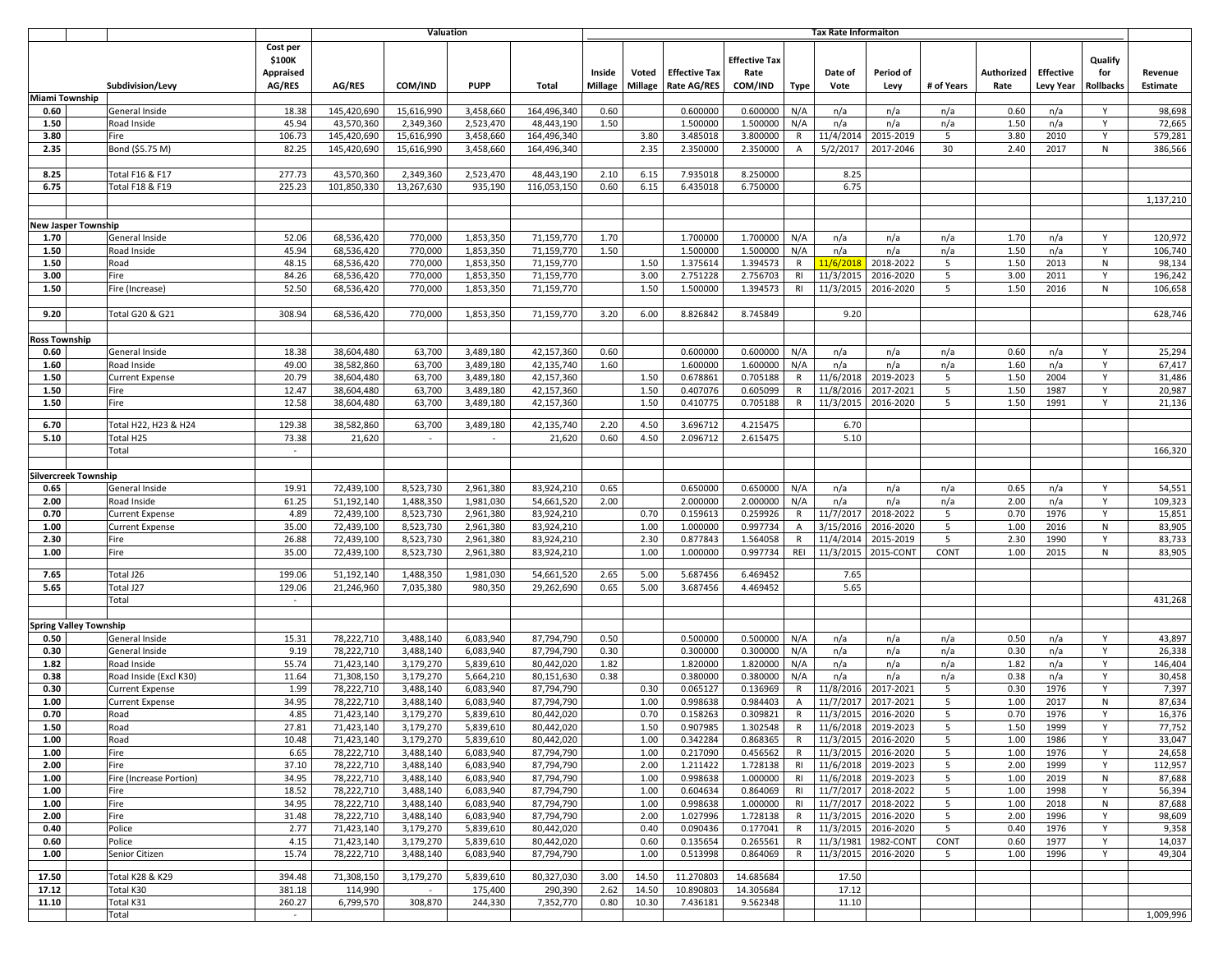|               | Valuation                     |                            |                                                  |               |            |                        |              | <b>Tax Rate Informaiton</b> |                         |                                            |                                         |                |                     |                     |            |                    |                                      |                             |                            |
|---------------|-------------------------------|----------------------------|--------------------------------------------------|---------------|------------|------------------------|--------------|-----------------------------|-------------------------|--------------------------------------------|-----------------------------------------|----------------|---------------------|---------------------|------------|--------------------|--------------------------------------|-----------------------------|----------------------------|
|               |                               | Subdivision/Levy           | Cost per<br>\$100K<br><b>Appraised</b><br>AG/RES | <b>AG/RES</b> | COM/IND    | <b>PUPP</b>            | <b>Total</b> | Inside<br><b>Millage</b>    | Voted<br><b>Millage</b> | <b>Effective Tax</b><br><b>Rate AG/RES</b> | <b>Effective Tax</b><br>Rate<br>COM/IND | <b>Type</b>    | Date of<br>Vote     | Period of<br>Levy   | # of Years | Authorized<br>Rate | <b>Effective</b><br><b>Levy Year</b> | Qualify<br>for<br>Rollbacks | Revenue<br><b>Estimate</b> |
|               | Miami Township                |                            |                                                  |               |            |                        |              |                             |                         |                                            |                                         |                |                     |                     |            |                    |                                      |                             |                            |
| 0.60          |                               | General Inside             | 18.38                                            | 145,420,690   | 15,616,990 | 3,458,660              | 164,496,340  | 0.60                        |                         | 0.600000                                   | 0.600000                                | N/A            | n/a                 | n/a                 | n/a        | 0.60               | n/a                                  | Y                           | 98,698                     |
| 1.50          |                               | Road Inside                | 45.94                                            | 43,570,360    | 2,349,360  | 2,523,470              | 48,443,190   | 1.50                        |                         | 1.500000                                   | 1.500000                                | N/A            | n/a                 | n/a                 | n/a        | 1.50               | n/a                                  | Y                           | 72,665                     |
| 3.80          |                               | Fire                       | 106.73                                           | 145,420,690   | 15,616,990 | 3,458,660              | 164,496,340  |                             | 3.80                    | 3.485018                                   | 3.800000                                | R              | 11/4/201            | 2015-2019           | 5          | 3.80               | 2010                                 | Y                           | 579,281                    |
| 2.35          |                               | Bond (\$5.75 M)            | 82.25                                            | 145,420,690   | 15,616,990 | 3,458,660              | 164,496,340  |                             | 2.35                    | 2.350000                                   | 2.350000                                | $\overline{A}$ | 5/2/2017            | 2017-2046           | 30         | 2.40               | 2017                                 | N                           | 386,566                    |
|               |                               |                            |                                                  |               |            |                        |              |                             |                         |                                            |                                         |                |                     |                     |            |                    |                                      |                             |                            |
| 8.25          |                               | Total F16 & F17            | 277.73                                           | 43,570,360    | 2,349,360  | 2,523,470              | 48,443,190   | 2.10                        | 6.15                    | 7.935018                                   | 8.250000                                |                | 8.25                |                     |            |                    |                                      |                             |                            |
| 6.75          |                               | <b>Total F18 &amp; F19</b> | 225.23                                           | 101,850,330   | 13,267,630 | 935,190                | 116.053.150  | 0.60                        | 6.15                    | 6.435018                                   | 6.750000                                |                | 6.75                |                     |            |                    |                                      |                             |                            |
|               |                               |                            |                                                  |               |            |                        |              |                             |                         |                                            |                                         |                |                     |                     |            |                    |                                      |                             | 1,137,210                  |
|               |                               |                            |                                                  |               |            |                        |              |                             |                         |                                            |                                         |                |                     |                     |            |                    |                                      |                             |                            |
|               | New Jasper Township           |                            |                                                  |               |            |                        |              |                             |                         |                                            |                                         |                |                     |                     |            |                    |                                      |                             |                            |
| 1.70          |                               | General Inside             | 52.06                                            | 68,536,420    | 770,000    | 1,853,350              | 71,159,770   | 1.70                        |                         | 1.700000                                   | 1.700000                                | N/A            | n/a                 | n/a                 | n/a        | 1.70               | n/a                                  | Y                           | 120,972                    |
| 1.50          |                               | Road Inside                | 45.94                                            | 68,536,420    | 770,000    | 1,853,350              | 71,159,770   | 1.50                        |                         | 1.500000                                   | 1.500000                                | N/A            | n/a                 | n/a                 | n/a        | 1.50               | n/a                                  | Y                           | 106,740                    |
| 1.50          |                               | Road                       | 48.15                                            | 68,536,420    | 770,000    | 1,853,350              | 71,159,770   |                             | 1.50                    | 1.375614                                   | 1.394573                                | R              | 11/6/201            | 2018-2022           | 5          | 1.50               | 2013                                 | ${\sf N}$                   | 98,134                     |
| 3.00          |                               | Fire                       | 84.26                                            | 68,536,420    | 770,000    | 1,853,350              | 71,159,770   |                             | 3.00                    | 2.751228                                   | 2.756703                                | RI             | 11/3/2015           | 2016-2020           | 5          | 3.00               | 2011                                 | Y                           | 196,242                    |
| 1.50          |                               | Fire (Increase)            | 52.50                                            | 68,536,420    | 770,000    | 1,853,350              | 71,159,770   |                             | 1.50                    | 1.500000                                   | 1.394573                                | RI             | 11/3/2015           | 2016-2020           | 5          | 1.50               | 2016                                 | N                           | 106,658                    |
|               |                               |                            |                                                  |               |            |                        |              |                             |                         |                                            |                                         |                |                     |                     |            |                    |                                      |                             |                            |
|               |                               |                            |                                                  |               |            |                        |              |                             |                         |                                            |                                         |                | 9.20                |                     |            |                    |                                      |                             |                            |
| 9.20          |                               | Total G20 & G21            | 308.94                                           | 68,536,420    | 770,000    | 1,853,350              | 71,159,770   | 3.20                        | 6.00                    | 8.826842                                   | 8.745849                                |                |                     |                     |            |                    |                                      |                             | 628,746                    |
|               |                               |                            |                                                  |               |            |                        |              |                             |                         |                                            |                                         |                |                     |                     |            |                    |                                      |                             |                            |
| Ross Township |                               |                            |                                                  |               |            |                        |              |                             |                         |                                            |                                         |                |                     |                     |            |                    |                                      |                             |                            |
| 0.60          |                               | General Inside             | 18.38                                            | 38,604,480    | 63,700     | 3,489,180              | 42.157.360   | 0.60                        |                         | 0.600000                                   | 0.600000                                | N/A            | n/a                 | n/a                 | n/a        | 0.60               | n/a                                  | Y                           | 25,294                     |
| 1.60          |                               | Road Inside                | 49.00                                            | 38,582,860    | 63,700     | 3,489,180              | 42.135.740   | 1.60                        |                         | 1.600000                                   | 1.600000                                | N/A            | n/a                 | n/a                 | n/a        | 1.60               | n/a                                  | Y                           | 67,417                     |
| 1.50          |                               | <b>Current Expense</b>     | 20.79                                            | 38,604,480    | 63,700     | 3,489,180              | 42,157,360   |                             | 1.50                    | 0.678861                                   | 0.705188                                | R              | 11/6/2018           | 2019-2023           | 5          | 1.50               | 2004                                 | Y                           | 31,486                     |
| 1.50          |                               | Fire                       | 12.47                                            | 38,604,480    | 63,700     | 3,489,180              | 42,157,360   |                             | 1.50                    | 0.407076                                   | 0.605099                                | R              | 11/8/2016           | 2017-2021           | 5          | 1.50               | 1987                                 | Y                           | 20,987                     |
| 1.50          |                               | Fire                       | 12.58                                            | 38,604,480    | 63,700     | 3,489,180              | 42,157,360   |                             | 1.50                    | 0.410775                                   | 0.705188                                | R              | 11/3/2015           | 2016-2020           | 5          | 1.50               | 1991                                 | Y                           | 21,136                     |
|               |                               |                            |                                                  |               |            |                        |              |                             |                         |                                            |                                         |                |                     |                     |            |                    |                                      |                             |                            |
| 6.70          |                               | Total H22, H23 & H24       | 129.38                                           | 38,582,860    | 63,700     | 3,489,180              | 42,135,740   | 2.20                        | 4.50                    | 3.696712                                   | 4.215475                                |                | 6.70                |                     |            |                    |                                      |                             |                            |
| 5.10          |                               | Total H25                  | 73.38                                            | 21,620        |            | $\sim$                 | 21,620       | 0.60                        | 4.50                    | 2.096712                                   | 2.615475                                |                | 5.10                |                     |            |                    |                                      |                             |                            |
|               |                               | Total                      |                                                  |               |            |                        |              |                             |                         |                                            |                                         |                |                     |                     |            |                    |                                      |                             | 166,320                    |
|               |                               |                            |                                                  |               |            |                        |              |                             |                         |                                            |                                         |                |                     |                     |            |                    |                                      |                             |                            |
|               | Silvercreek Township          |                            |                                                  |               |            |                        |              |                             |                         |                                            |                                         |                |                     |                     |            |                    |                                      |                             |                            |
| 0.65          |                               | General Inside             | 19.91                                            | 72,439,100    | 8,523,730  | 2,961,380              | 83,924,210   | 0.65                        |                         | 0.650000                                   | 0.650000                                | N/A            | n/a                 | n/a                 | n/a        | 0.65               | n/a                                  | Y                           | 54,551                     |
| 2.00          |                               | Road Inside                | 61.25                                            | 51,192,140    | 1,488,350  | 1,981,030              | 54,661,520   | 2.00                        |                         | 2.000000                                   | 2.000000                                | N/A            | n/a                 | n/a                 | n/a        | 2.00               | n/a                                  | Y                           | 109,323                    |
| 0.70          |                               | <b>Current Expense</b>     | 4.89                                             | 72,439,100    | 8,523,730  | 2,961,380              | 83,924,210   |                             | 0.70                    | 0.159613                                   | 0.259926                                | $\mathsf{R}$   | 11/7/2017           | 2018-2022           | 5          | 0.70               | 1976                                 | Y                           | 15,851                     |
| 1.00          |                               | <b>Current Expense</b>     | 35.00                                            | 72,439,100    | 8,523,730  | 2,961,380              | 83,924,210   |                             | 1.00                    | 1.000000                                   | 0.997734                                | $\overline{A}$ | 3/15/2016           | 2016-2020           | 5          | 1.00               | 2016                                 | N                           | 83,905                     |
| 2.30          |                               | Fire                       | 26.88                                            | 72,439,100    | 8,523,730  | 2,961,380              | 83,924,210   |                             | 2.30                    | 0.877843                                   | 1.564058                                | $\mathsf{R}$   | 11/4/2014           | 2015-2019           | 5          | 2.30               | 1990                                 | Y                           | 83,733                     |
| 1.00          |                               | Fire                       | 35.00                                            | 72,439,100    | 8,523,730  | 2,961,380              | 83,924,210   |                             | 1.00                    | 1.000000                                   | 0.997734                                | REI            | 11/3/2015           | 2015-CONT           | CONT       | 1.00               | 2015                                 | ${\sf N}$                   | 83,905                     |
|               |                               |                            |                                                  |               |            |                        |              |                             |                         |                                            |                                         |                |                     |                     |            |                    |                                      |                             |                            |
| 7.65          |                               | Total J26                  | 199.06                                           | 51,192,140    | 1,488,350  | 1,981,030              | 54,661,520   | 2.65                        | 5.00                    | 5.687456                                   | 6.469452                                |                | 7.65                |                     |            |                    |                                      |                             |                            |
| 5.65          |                               | Total J27                  | 129.06                                           | 21,246,960    | 7,035,380  | 980,350                | 29,262,690   | 0.65                        | 5.00                    | 3.687456                                   | 4.469452                                |                | 5.65                |                     |            |                    |                                      |                             |                            |
|               |                               | Total                      |                                                  |               |            |                        |              |                             |                         |                                            |                                         |                |                     |                     |            |                    |                                      |                             | 431,268                    |
|               |                               |                            |                                                  |               |            |                        |              |                             |                         |                                            |                                         |                |                     |                     |            |                    |                                      |                             |                            |
|               | <b>Spring Valley Township</b> |                            |                                                  |               |            |                        |              |                             |                         |                                            |                                         |                |                     |                     |            |                    |                                      |                             |                            |
| 0.50          |                               | General Inside             | 15.31                                            | 78,222,710    | 3,488,140  | 6,083,940              | 87,794,790   | 0.50                        |                         | 0.500000                                   | 0.500000                                | N/A            | n/a                 | n/a                 | n/a        | 0.50               | n/a                                  | Y                           | 43,897                     |
| 0.30          |                               | General Inside             | 9.19                                             | 78.222.710    | 3,488,140  | 6,083,940              | 87,794,790   | 0.30                        |                         | 0.300000                                   | 0.300000                                | N/A            | n/a                 | n/a                 | n/a        | 0.30               | n/a                                  | Y                           | 26,338                     |
| 1.82          |                               | Road Inside                | 55.74                                            | 71,423,140    | 3,179,270  | 5,839,610              | 80,442,020   | 1.82                        |                         | 1.820000                                   | 1.820000                                | N/A            | n/a                 | n/a                 | n/a        | 1.82               | n/a                                  | Y                           | 146,404                    |
| 0.38          |                               | Road Inside (Excl K30)     | 11.64                                            | 71,308,150    | 3,179,270  | 5,664,210              | 80,151,630   | 0.38                        |                         | 0.380000                                   | 0.380000                                | N/A            | n/a                 | n/a                 | n/a        | 0.38               | n/a                                  | Y                           | 30,458                     |
| 0.30          |                               | <b>Current Expense</b>     | 1.99                                             | 78,222,710    | 3,488,140  | 6,083,940              | 87,794,790   |                             | 0.30                    | 0.065127                                   | 0.136969                                | R              | 11/8/2016           | 2017-2021           | 5          | 0.30               | 1976                                 | Y                           | 7,397                      |
| 1.00          |                               | <b>Current Expense</b>     | 34.95                                            | 78.222.710    | 3,488,140  | 6,083,940              | 87,794,790   |                             | 1.00                    | 0.998638                                   | 0.984403                                | $\mathsf{A}$   | 11/7/201            | 2017-2021           | 5          | 1.00               | 2017                                 | ${\sf N}$                   | 87,634                     |
| 0.70          |                               | Road                       | 4.85                                             | 71,423,140    | 3,179,270  | 5,839,610              | 80,442,020   |                             | 0.70                    | 0.158263                                   | 0.309821                                | $\mathsf{R}$   | 11/3/2015           | 2016-2020           | 5          | 0.70               | 1976                                 | Y                           | 16,376                     |
|               |                               |                            | 27.81                                            | 71,423,140    | 3,179,270  |                        | 80,442,020   |                             | 1.50                    | 0.907985                                   | 1.302548                                | <b>R</b>       | 11/6/2018 2019-2023 |                     | 5          | 1.50               | 1999                                 |                             | 77,752                     |
| 1.50<br>1.00  |                               | Road<br>Road               | 10.48                                            | 71,423,140    | 3,179,270  | 5,839,610<br>5,839,610 | 80,442,020   |                             | 1.00                    | 0.342284                                   | 0.868365                                | R              | 11/3/2015 2016-2020 |                     | 5          | 1.00               | 1986                                 | Y                           | 33,047                     |
| 1.00          |                               | Fire                       | 6.65                                             | 78,222,710    | 3,488,140  | 6,083,940              | 87,794,790   |                             | 1.00                    | 0.217090                                   | 0.456562                                | R              | 11/3/2015 2016-2020 |                     | 5          | 1.00               | 1976                                 | Y                           | 24,658                     |
| 2.00          |                               | Fire                       | 37.10                                            | 78,222,710    | 3,488,140  | 6,083,940              | 87,794,790   |                             | 2.00                    | 1.211422                                   | 1.728138                                | <b>RI</b>      | 11/6/2018 2019-2023 |                     | 5          | 2.00               | 1999                                 | Y                           | 112,957                    |
| 1.00          |                               |                            | 34.95                                            | 78,222,710    | 3,488,140  | 6,083,940              | 87,794,790   |                             | 1.00                    | 0.998638                                   | 1.000000                                | RI             |                     |                     | 5          | 1.00               | 2019                                 | N                           |                            |
|               |                               | Fire (Increase Portion)    |                                                  |               |            |                        |              |                             |                         |                                            |                                         |                | 11/6/2018 2019-2023 |                     |            |                    |                                      |                             | 87,688                     |
| 1.00          |                               | Fire                       | 18.52                                            | 78,222,710    | 3,488,140  | 6,083,940              | 87,794,790   |                             | 1.00                    | 0.604634                                   | 0.864069                                | RI             | 11/7/2017 2018-2022 |                     | 5          | 1.00               | 1998                                 | Y                           | 56,394                     |
| 1.00          |                               | Fire                       | 34.95                                            | 78,222,710    | 3,488,140  | 6,083,940              | 87,794,790   |                             | 1.00                    | 0.998638                                   | 1.000000                                | <b>RI</b>      |                     | 11/7/2017 2018-2022 | 5          | 1.00               | 2018                                 | N                           | 87,688                     |
| 2.00          |                               | Fire                       | 31.48                                            | 78,222,710    | 3,488,140  | 6,083,940              | 87,794,790   |                             | 2.00                    | 1.027996                                   | 1.728138                                | R              |                     | 11/3/2015 2016-2020 | 5          | 2.00               | 1996                                 | Y                           | 98,609                     |
| 0.40          |                               | Police                     | 2.77                                             | 71,423,140    | 3,179,270  | 5,839,610              | 80,442,020   |                             | 0.40                    | 0.090436                                   | 0.177041                                | R              |                     | 11/3/2015 2016-2020 | 5          | 0.40               | 1976                                 | Y                           | 9,358                      |
| 0.60          |                               | Police                     | 4.15                                             | 71,423,140    | 3,179,270  | 5,839,610              | 80,442,020   |                             | 0.60                    | 0.135654                                   | 0.265561                                | R              | 11/3/1981           | 1982-CONT           | CONT       | 0.60               | 1977                                 | Y                           | 14,037                     |
| 1.00          |                               | Senior Citizen             | 15.74                                            | 78,222,710    | 3,488,140  | 6,083,940              | 87,794,790   |                             | 1.00                    | 0.513998                                   | 0.864069                                | R              | 11/3/2015 2016-2020 |                     | 5          | 1.00               | 1996                                 | Y                           | 49,304                     |
|               |                               |                            |                                                  |               |            |                        |              |                             |                         |                                            |                                         |                |                     |                     |            |                    |                                      |                             |                            |
| 17.50         |                               | Total K28 & K29            | 394.48                                           | 71,308,150    | 3,179,270  | 5,839,610              | 80,327,030   | 3.00                        | 14.50                   | 11.270803                                  | 14.685684                               |                | 17.50               |                     |            |                    |                                      |                             |                            |
| 17.12         |                               | Total K30                  | 381.18                                           | 114,990       | $\sim$     | 175,400                | 290,390      | 2.62                        | 14.50                   | 10.890803                                  | 14.305684                               |                | 17.12               |                     |            |                    |                                      |                             |                            |
| 11.10         |                               | Total K31                  | 260.27                                           | 6,799,570     | 308,870    | 244,330                | 7,352,770    | 0.80                        | 10.30                   | 7.436181                                   | 9.562348                                |                | 11.10               |                     |            |                    |                                      |                             |                            |
|               |                               | Total                      | $\sim$                                           |               |            |                        |              |                             |                         |                                            |                                         |                |                     |                     |            |                    |                                      |                             | 1,009,996                  |